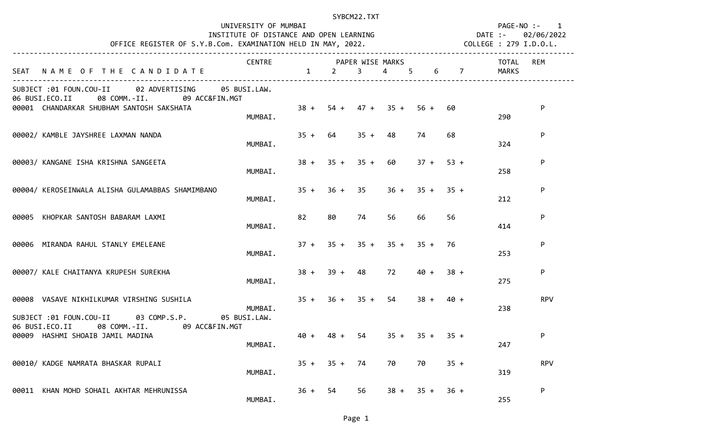| OFFICE REGISTER OF S.Y.B.Com. EXAMINATION HELD IN MAY, 2022. COLLEGE : 279 I.D.O.L.                                                            | UNIVERSITY OF MUMBAI<br>INSTITUTE OF DISTANCE AND OPEN LEARNING MANUSCHES DATE :- 02/06/2022 |                                         |                     | SYBCM22.TXT |           |                            |             |                                        |       | PAGE-NO :- 1 |
|------------------------------------------------------------------------------------------------------------------------------------------------|----------------------------------------------------------------------------------------------|-----------------------------------------|---------------------|-------------|-----------|----------------------------|-------------|----------------------------------------|-------|--------------|
| SEAT NAME OF THE CANDIDATE                                                                                                                     | CENTRE PAPER WISE MARKS                                                                      | $1 \qquad 2 \qquad 3 \qquad 4 \qquad 5$ |                     |             |           |                            |             | <b>Example 10 TOTAL</b><br>$6\qquad 7$ | MARKS | <b>REM</b>   |
| SUBJECT :01 FOUN.COU-II 02 ADVERTISING 05 BUSI.LAW.<br>06 BUSI.ECO.II 08 COMM.-II. 09 ACC&FIN.MGT<br>00001 CHANDARKAR SHUBHAM SANTOSH SAKSHATA | MUMBAI.                                                                                      |                                         |                     |             |           | $38 + 54 + 47 + 35 + 56 +$ | 60          |                                        | 290   | P            |
| 00002/ KAMBLE JAYSHREE LAXMAN NANDA                                                                                                            | MUMBAI.                                                                                      |                                         | $35 + 64$           |             | $35 + 48$ | 74                         | 68          |                                        | 324   | P            |
| 00003/ KANGANE ISHA KRISHNA SANGEETA                                                                                                           | MUMBAI.                                                                                      |                                         | $38 + 35 + 35 + 60$ |             |           |                            | $37 + 53 +$ |                                        | 258   | P            |
| 00004/ KEROSEINWALA ALISHA GULAMABBAS SHAMIMBANO                                                                                               | MUMBAI.                                                                                      |                                         | $35 + 36 + 35$      |             |           | $36 + 35 + 35 +$           |             |                                        | 212   | P            |
| 00005 KHOPKAR SANTOSH BABARAM LAXMI                                                                                                            | MUMBAI.                                                                                      | 82                                      | 80                  | 74          | 56        | 66                         | 56          |                                        | 414   | P            |
| 00006 MIRANDA RAHUL STANLY EMELEANE                                                                                                            | MUMBAI.                                                                                      |                                         |                     |             |           | $37 + 35 + 35 + 35 + 35 +$ | 76          |                                        | 253   | P            |
| 00007/ KALE CHAITANYA KRUPESH SUREKHA                                                                                                          | MUMBAI.                                                                                      |                                         | $38 + 39 + 48$      |             |           | 72 40 +                    | $38 +$      |                                        | 275   | P            |
| 00008 VASAVE NIKHILKUMAR VIRSHING SUSHILA<br>SUBJECT :01 FOUN.COU-II 03 COMP.S.P. 05 BUSI.LAW.                                                 | MUMBAI.                                                                                      |                                         | $35 + 36 + 35 + 54$ |             |           | $38 +$                     | $40 +$      |                                        | 238   | <b>RPV</b>   |
| 06 BUSI.ECO.II 08 COMM.-II. 09 ACC&FIN.MGT<br>00009 HASHMI SHOAIB JAMIL MADINA                                                                 | MUMBAI.                                                                                      | $40 +$                                  | $48 +$              | 54          | $35 +$    | $35 +$                     | $35 +$      |                                        | 247   | P            |
| 00010/ KADGE NAMRATA BHASKAR RUPALI                                                                                                            | MUMBAI.                                                                                      |                                         | $35 + 35 + 74$      |             | 70        | 70                         | $35 +$      |                                        | 319   | <b>RPV</b>   |
| 00011 KHAN MOHD SOHAIL AKHTAR MEHRUNISSA                                                                                                       | MUMBAI.                                                                                      | $36 +$                                  | 54                  | 56          | $38 +$    | $35 +$                     | $36 +$      |                                        | 255   | P            |

Page 1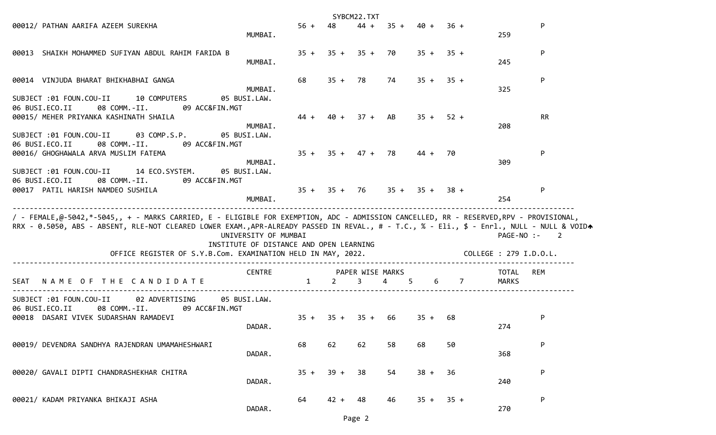|                                                                                                                                                                                                                                                                                                                                                    |                                                                 |              |                | SYBCM22.TXT           |                                 |             |                |                                      |                          |
|----------------------------------------------------------------------------------------------------------------------------------------------------------------------------------------------------------------------------------------------------------------------------------------------------------------------------------------------------|-----------------------------------------------------------------|--------------|----------------|-----------------------|---------------------------------|-------------|----------------|--------------------------------------|--------------------------|
| 00012/ PATHAN AARIFA AZEEM SUREKHA                                                                                                                                                                                                                                                                                                                 | MUMBAI.                                                         | $56 +$       | 48             | $44 +$                |                                 | $35 + 40 +$ | $36 +$         | 259                                  | P                        |
| 00013 SHAIKH MOHAMMED SUFIYAN ABDUL RAHIM FARIDA B                                                                                                                                                                                                                                                                                                 | MUMBAI.                                                         | $35 +$       |                | $35 + 35 + 70$        |                                 |             | $35 + 35 +$    | 245                                  | P                        |
| 00014 VINJUDA BHARAT BHIKHABHAI GANGA                                                                                                                                                                                                                                                                                                              | MUMBAI.                                                         | 68           | $35 + 78$      |                       | 74                              |             | $35 + 35 +$    | 325                                  | P                        |
| SUBJECT :01 FOUN.COU-II<br>10 COMPUTERS<br>06 BUSI.ECO.II<br>08 COMM.-II.<br>09 ACC&FIN.MGT<br>00015/ MEHER PRIYANKA KASHINATH SHAILA                                                                                                                                                                                                              | 05 BUSI.LAW.<br>MUMBAI.                                         | 44 +         |                | $40 + 37 + AB$        |                                 | $35 +$      | $52 +$         | 208                                  | <b>RR</b>                |
| SUBJECT :01 FOUN.COU-II<br>03 COMP.S.P.<br>06 BUSI.ECO.II<br>08 COMM.-II.<br>09 ACC&FIN.MGT<br>00016/ GHOGHAWALA ARVA MUSLIM FATEMA                                                                                                                                                                                                                | 05 BUSI.LAW.<br>MUMBAI.                                         | $35 +$       |                | $35 + 47 + 78$        |                                 | $44 +$      | 70             | 309                                  | P                        |
| SUBJECT :01 FOUN.COU-II<br>14 ECO.SYSTEM.<br>06 BUSI.ECO.II<br>08 COMM.-II.<br>09 ACC&FIN.MGT<br>00017 PATIL HARISH NAMDEO SUSHILA                                                                                                                                                                                                                 | 05 BUSI.LAW.<br>MUMBAI.                                         |              |                |                       | $35 + 35 + 76$ $35 + 35 + 38 +$ |             |                | 254                                  | P                        |
| / - FEMALE,@-5042,*-5045,, + - MARKS CARRIED, E - ELIGIBLE FOR EXEMPTION, ADC - ADMISSION CANCELLED, RR - RESERVED,RPV - PROVISIONAL,<br>RRX - 0.5050, ABS - ABSENT, RLE-NOT CLEARED LOWER EXAM.,APR-ALREADY PASSED IN REVAL., # - T.C., % - Eli., \$ - Enrl., NULL - NULL & VOIDA<br>OFFICE REGISTER OF S.Y.B.Com. EXAMINATION HELD IN MAY, 2022. | UNIVERSITY OF MUMBAI<br>INSTITUTE OF DISTANCE AND OPEN LEARNING |              |                |                       |                                 |             |                | PAGE-NO :-<br>COLLEGE : 279 I.D.O.L. | $\overline{\phantom{0}}$ |
| NAME OF THE CANDIDATE<br><b>SEAT</b>                                                                                                                                                                                                                                                                                                               | <b>CENTRE</b>                                                   | $\mathbf{1}$ | $\overline{2}$ | PAPER WISE MARKS<br>3 | $\overline{4}$                  | 5<br>6      | $\overline{7}$ | TOTAL<br><b>MARKS</b>                | REM                      |
| SUBJECT :01 FOUN.COU-II<br>02 ADVERTISING<br>06 BUSI.ECO.II<br>08 COMM.-II.<br>09 ACC&FIN.MGT<br>00018 DASARI VIVEK SUDARSHAN RAMADEVI                                                                                                                                                                                                             | 05 BUSI.LAW.<br>DADAR.                                          | $35 +$       | $35 + 35 +$    |                       | 66                              | $35 +$      | 68             | 274                                  | P                        |
| 00019/ DEVENDRA SANDHYA RAJENDRAN UMAMAHESHWARI                                                                                                                                                                                                                                                                                                    | DADAR.                                                          | 68           | 62             | 62                    | 58                              | 68          | 50             | 368                                  | P                        |
| 00020/ GAVALI DIPTI CHANDRASHEKHAR CHITRA                                                                                                                                                                                                                                                                                                          | DADAR.                                                          | $35 +$       | $39 +$         | 38                    | 54                              | $38 +$      | 36             | 240                                  | P                        |
| 00021/ KADAM PRIYANKA BHIKAJI ASHA                                                                                                                                                                                                                                                                                                                 | DADAR.                                                          | 64           | $42 +$         | 48                    | 46                              | $35 +$      | $35 +$         | 270                                  | P                        |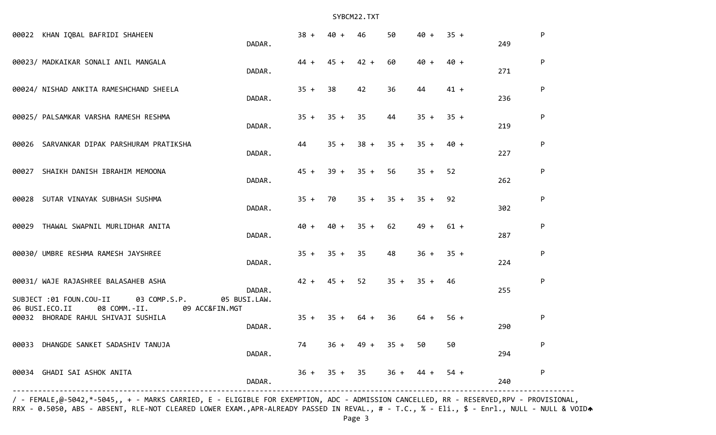| 00022 KHAN IQBAL BAFRIDI SHAHEEN                                                        | DADAR.                 | $38 +$         | 40 +      | 46                  | 50          | 40 +   | $35 +$ | 249 | P         |
|-----------------------------------------------------------------------------------------|------------------------|----------------|-----------|---------------------|-------------|--------|--------|-----|-----------|
| 00023/ MADKAIKAR SONALI ANIL MANGALA                                                    | DADAR.                 | $44 +$         | $45 +$    | $42 +$              | 60          | $40 +$ | $40 +$ | 271 | ${\sf P}$ |
| 00024/ NISHAD ANKITA RAMESHCHAND SHEELA                                                 | DADAR.                 | $35 +$         | 38        | 42                  | 36          | 44     | $41 +$ | 236 | P         |
| 00025/ PALSAMKAR VARSHA RAMESH RESHMA                                                   | DADAR.                 | $35 +$         | $35 + 35$ |                     | 44          | $35 +$ | $35 +$ | 219 | ${\sf P}$ |
| 00026 SARVANKAR DIPAK PARSHURAM PRATIKSHA                                               | DADAR.                 | 44             | $35 +$    |                     | $38 + 35 +$ | $35 +$ | 40 +   | 227 | ${\sf P}$ |
| 00027 SHAIKH DANISH IBRAHIM MEMOONA                                                     | DADAR.                 | $45 +$         |           | $39 + 35 + 56$      |             | $35 +$ | 52     | 262 | ${\sf P}$ |
| 00028 SUTAR VINAYAK SUBHASH SUSHMA                                                      | DADAR.                 | $35 +$         | 70        |                     | $35 + 35 +$ | $35 +$ | 92     | 302 | ${\sf P}$ |
| 00029 THAWAL SWAPNIL MURLIDHAR ANITA                                                    | DADAR.                 | $40 +$         | $40 +$    | $35 +$              | 62          | $49 +$ | $61 +$ | 287 | P         |
| 00030/ UMBRE RESHMA RAMESH JAYSHREE                                                     | DADAR.                 | $35 + 35 + 35$ |           |                     | 48          | $36 +$ | $35 +$ | 224 | P         |
| 00031/ WAJE RAJASHREE BALASAHEB ASHA<br>SUBJECT :01 FOUN.COU-II 03 COMP.S.P.            | DADAR.<br>05 BUSI.LAW. | $42 + 45 + 52$ |           |                     | $35 +$      | $35 +$ | 46     | 255 | ${\sf P}$ |
| 06 BUSI.ECO.II<br>08 COMM.-II.<br>09 ACC&FIN.MGT<br>00032 BHORADE RAHUL SHIVAJI SUSHILA | DADAR.                 |                |           | $35 + 35 + 64 + 36$ |             | $64 +$ | $56 +$ | 290 | ${\sf P}$ |
| 00033 DHANGDE SANKET SADASHIV TANUJA                                                    | DADAR.                 | 74             | $36 +$    | $49 +$              | $35 +$      | 50     | 50     | 294 | ${\sf P}$ |
| 00034 GHADI SAI ASHOK ANITA                                                             | DADAR.                 | $36 +$         | $35 + 35$ |                     | $36 +$      | $44 +$ | $54 +$ | 240 | ${\sf P}$ |

/ - FEMALE,@-5042,\*-5045,, + - MARKS CARRIED, E - ELIGIBLE FOR EXEMPTION, ADC - ADMISSION CANCELLED, RR - RESERVED,RPV - PROVISIONAL, RRX - 0.5050, ABS - ABSENT, RLE-NOT CLEARED LOWER EXAM.,APR-ALREADY PASSED IN REVAL., # - T.C., % - Eli., \$ - Enrl., NULL - NULL & VOIDA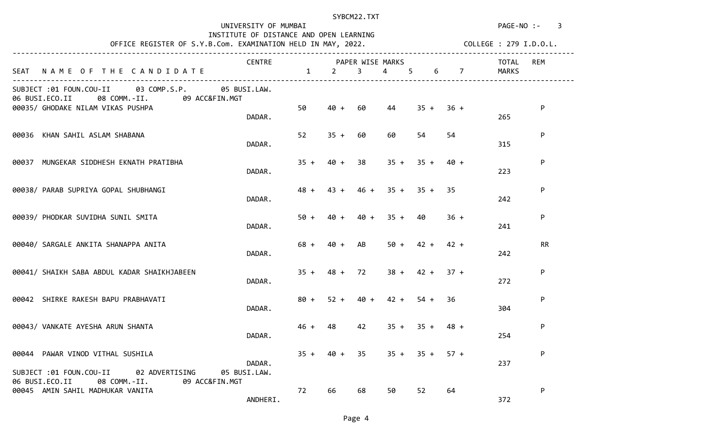UNIVERSITY OF MUMBAI **PAGE-NO** :- 3

### INSTITUTE OF DISTANCE AND OPEN LEARNING

OFFICE REGISTER OF S.Y.B.Com. EXAMINATION HELD IN MAY, 2022. COLLEGE : 279 I.D.O.L.

|  | $C$ OLIFGE $\cdot$ 279 T D O L |  |  |
|--|--------------------------------|--|--|

|                                                                                                   | CENTRE   |        |             | PAPER WISE MARKS |                          |                     |             | TOTAL   | <b>REM</b> |
|---------------------------------------------------------------------------------------------------|----------|--------|-------------|------------------|--------------------------|---------------------|-------------|---------|------------|
| SEAT NAME OF THE CANDIDATE                                                                        |          |        | $1 \t2$     | 3 <sup>7</sup>   | $4 \quad$                | 5 <sup>5</sup><br>6 |             | 7 MARKS |            |
| SUBJECT :01 FOUN.COU-II 03 COMP.S.P. 05 BUSI.LAW.<br>06 BUSI.ECO.II 08 COMM.-II. 09 ACC&FIN.MGT   |          |        |             |                  |                          |                     |             |         |            |
| 00035/ GHODAKE NILAM VIKAS PUSHPA                                                                 | DADAR.   | 50     | $40 +$      | 60               | 44                       |                     | $35 + 36 +$ | 265     | P          |
| 00036 KHAN SAHIL ASLAM SHABANA                                                                    | DADAR.   | 52     | $35 + 60$   |                  | 60                       | 54                  | 54          | 315     | ${\sf P}$  |
| 00037 MUNGEKAR SIDDHESH EKNATH PRATIBHA                                                           | DADAR.   |        |             | $35 + 40 + 38$   |                          | $35 + 35 + 40 +$    |             | 223     | ${\sf P}$  |
| 00038/ PARAB SUPRIYA GOPAL SHUBHANGI                                                              | DADAR.   | $48 +$ |             |                  | $43 + 46 + 35 + 35 + 35$ |                     |             | 242     | ${\sf P}$  |
| 00039/ PHODKAR SUVIDHA SUNIL SMITA                                                                | DADAR.   | $50 +$ | 40 +        | 40 +             | $35 + 40$                |                     | $36 +$      | 241     | P          |
| 00040/ SARGALE ANKITA SHANAPPA ANITA                                                              | DADAR.   | $68 +$ | 40 +        | AB               |                          | $50 + 42 + 42 +$    |             | 242     | <b>RR</b>  |
| 00041/ SHAIKH SABA ABDUL KADAR SHAIKHJABEEN                                                       | DADAR.   | $35 +$ |             | $48 + 72$        |                          | $38 + 42 + 37 +$    |             | 272     | ${\sf P}$  |
| 00042 SHIRKE RAKESH BAPU PRABHAVATI                                                               | DADAR.   |        | $80 + 52 +$ | $40 +$           | $42 +$                   | $54 +$              | 36          | 304     | ${\sf P}$  |
| 00043/ VANKATE AYESHA ARUN SHANTA                                                                 | DADAR.   | $46 +$ | 48          | 42               |                          | $35 + 35 + 48 +$    |             | 254     | ${\sf P}$  |
| 00044 PAWAR VINOD VITHAL SUSHILA                                                                  |          | $35 +$ |             | $40 + 35$        |                          | $35 + 35 + 57 +$    |             |         | P          |
| SUBJECT :01 FOUN.COU-II 02 ADVERTISING 05 BUSI.LAW.<br>06 BUSI.ECO.II 08 COMM.-II. 09 ACC&FIN.MGT | DADAR.   |        |             |                  |                          |                     |             | 237     |            |
| 00045 AMIN SAHIL MADHUKAR VANITA                                                                  | ANDHERI. | 72     | 66          | 68               | 50                       | 52                  | 64          | 372     | P          |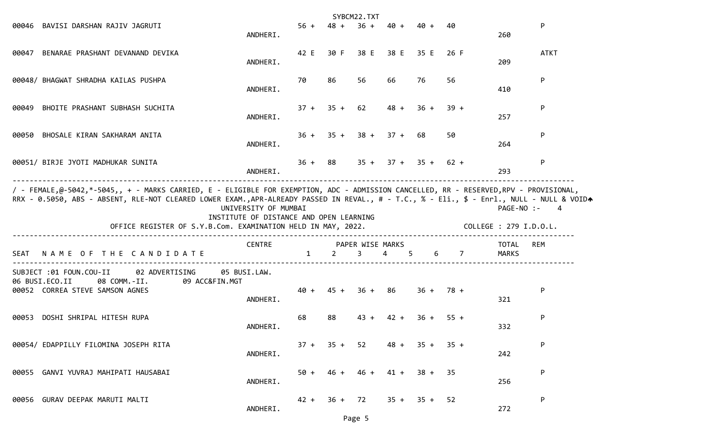|                                                                                                                                                                                                                                  |                                                                 |                        |             | SYBCM22.TXT    |                                 |             |             |                |             |
|----------------------------------------------------------------------------------------------------------------------------------------------------------------------------------------------------------------------------------|-----------------------------------------------------------------|------------------------|-------------|----------------|---------------------------------|-------------|-------------|----------------|-------------|
| 00046 BAVISI DARSHAN RAJIV JAGRUTI                                                                                                                                                                                               | ANDHERI.                                                        |                        |             |                | $56 + 48 + 36 + 40 + 40 +$      |             | 40          | 260            | P           |
| 00047 BENARAE PRASHANT DEVANAND DEVIKA                                                                                                                                                                                           | ANDHERI.                                                        |                        |             |                | 42 E 30 F 38 E 38 E 35 E        |             | 26 F        | 209            | <b>ATKT</b> |
| 00048/ BHAGWAT SHRADHA KAILAS PUSHPA                                                                                                                                                                                             | ANDHERI.                                                        | 70                     | 86          | 56             | 66                              | 76.         | 56          | 410            | P           |
| 00049 BHOITE PRASHANT SUBHASH SUCHITA                                                                                                                                                                                            | ANDHERI.                                                        |                        |             | $37 + 35 + 62$ |                                 | $48 + 36 +$ | $39 +$      | 257            | P           |
| 00050 BHOSALE KIRAN SAKHARAM ANITA                                                                                                                                                                                               | ANDHERI.                                                        |                        |             |                | $36 + 35 + 38 + 37 + 68$        |             | 50          | 264            | P           |
| 00051/ BIRJE JYOTI MADHUKAR SUNITA                                                                                                                                                                                               | ANDHERI.                                                        |                        |             |                | $36 + 88$ $35 + 37 + 35 + 62 +$ |             |             | 293            | P           |
| / - FEMALE,@-5042,*-5045,, + - MARKS CARRIED, E - ELIGIBLE FOR EXEMPTION, ADC - ADMISSION CANCELLED, RR - RESERVED,RPV - PROVISIONAL,                                                                                            |                                                                 |                        |             |                |                                 |             |             |                |             |
| RRX - 0.5050, ABS - ABSENT, RLE-NOT CLEARED LOWER EXAM.,APR-ALREADY PASSED IN REVAL., # - T.C., % - Eli., \$ - Enrl., NULL - NULL & VOIDA<br>OFFICE REGISTER OF S.Y.B.Com. EXAMINATION HELD IN MAY, 2022. COLLEGE : 279 I.D.O.L. | UNIVERSITY OF MUMBAI<br>INSTITUTE OF DISTANCE AND OPEN LEARNING |                        |             |                |                                 |             |             | PAGE-NO :- 4   |             |
| SEAT NAME OF THE CANDIDATE                                                                                                                                                                                                       | CENTRE PAPER WISE MARKS                                         | $1 \quad \blacksquare$ |             |                | $2 \quad 3 \quad 4 \quad 5$     |             | $6\qquad 7$ | TOTAL<br>MARKS | REM         |
| SUBJECT :01 FOUN.COU-II 02 ADVERTISING<br>06 BUSI.ECO.II<br>08 COMM.-II.<br>09 ACC&FIN.MGT<br>00052 CORREA STEVE SAMSON AGNES                                                                                                    | 05 BUSI.LAW.<br>ANDHERI.                                        |                        |             |                | $40 + 45 + 36 + 86$             | $36 + 78 +$ |             | 321            | P           |
| 00053 DOSHI SHRIPAL HITESH RUPA                                                                                                                                                                                                  | ANDHERI.                                                        | 68                     | 88          | $43 +$         |                                 | $42 + 36 +$ | $55 +$      | 332            | P           |
| 00054/ EDAPPILLY FILOMINA JOSEPH RITA                                                                                                                                                                                            | ANDHERI.                                                        |                        |             |                | $37 + 35 + 52$ $48 + 35 + 35 +$ |             |             | 242            | P           |
| 00055 GANVI YUVRAJ MAHIPATI HAUSABAI                                                                                                                                                                                             | ANDHERI.                                                        |                        | $50 + 46 +$ | 46 +           |                                 | $41 + 38 +$ | 35          | 256            | P           |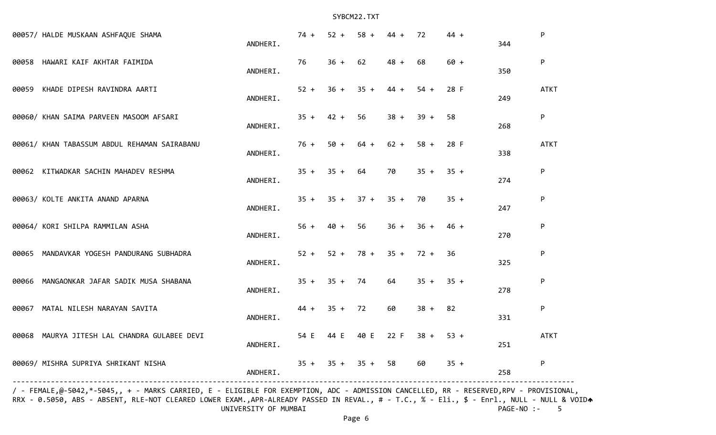| 00057/ HALDE MUSKAAN ASHFAQUE SHAMA          | ANDHERI. | $74 +$         | $52 +$    | $58 +$                | $44 +$ | 72                         | $44 +$ | 344 | P           |
|----------------------------------------------|----------|----------------|-----------|-----------------------|--------|----------------------------|--------|-----|-------------|
| 00058 HAWARI KAIF AKHTAR FAIMIDA             | ANDHERI. | 76             | $36 + 62$ |                       | $48 +$ | 68                         | $60 +$ | 350 | P           |
| 00059 KHADE DIPESH RAVINDRA AARTI            | ANDHERI. | $52 +$         | $36 +$    | $35 +$                | $44 +$ | $54 +$                     | 28 F   | 249 | <b>ATKT</b> |
| 00060/ KHAN SAIMA PARVEEN MASOOM AFSARI      | ANDHERI. | $35 +$         | $42 +$    | 56                    | $38 +$ | $39 +$                     | 58     | 268 | P           |
| 00061/ KHAN TABASSUM ABDUL REHAMAN SAIRABANU | ANDHERI. | 76 +           | $50 +$    | $64 +$                | $62 +$ | $58 +$                     | 28 F   | 338 | <b>ATKT</b> |
| 00062 KITWADKAR SACHIN MAHADEV RESHMA        | ANDHERI. | $35 + 35 + 64$ |           |                       | 70     | $35 +$                     | $35 +$ | 274 | P           |
| 00063/ KOLTE ANKITA ANAND APARNA             | ANDHERI. |                |           | $35 + 35 + 37 + 35 +$ |        | 70                         | $35 +$ | 247 | P           |
| 00064/ KORI SHILPA RAMMILAN ASHA             | ANDHERI. | $56 + 40 +$    |           | 56                    | $36 +$ | 36 +                       | 46 +   | 270 | P           |
| 00065 MANDAVKAR YOGESH PANDURANG SUBHADRA    | ANDHERI. |                |           |                       |        | $52 + 52 + 78 + 35 + 72 +$ | 36     | 325 | P           |
| 00066 MANGAONKAR JAFAR SADIK MUSA SHABANA    | ANDHERI. | $35 + 35 + 74$ |           |                       | 64     | $35 + 35 +$                |        | 278 | P           |
| 00067 MATAL NILESH NARAYAN SAVITA            | ANDHERI. | 44 +           | $35 + 72$ |                       | 60     | $38 +$                     | 82     | 331 | ${\sf P}$   |
| 00068 MAURYA JITESH LAL CHANDRA GULABEE DEVI | ANDHERI. | 54 E           |           | 44 E 40 E             | 22 F   | $38 +$                     | $53 +$ | 251 | <b>ATKT</b> |
| 00069/ MISHRA SUPRIYA SHRIKANT NISHA         | ANDHERI. |                |           | $35 + 35 + 35 + 58$   |        | 60                         | $35 +$ | 258 | ${\sf P}$   |
|                                              |          |                |           |                       |        |                            |        |     |             |

/ - FEMALE,@-5042,\*-5045,, + - MARKS CARRIED, E - ELIGIBLE FOR EXEMPTION, ADC - ADMISSION CANCELLED, RR - RESERVED,RPV - PROVISIONAL, RRX - 0.5050, ABS - ABSENT, RLE-NOT CLEARED LOWER EXAM.,APR-ALREADY PASSED IN REVAL., # - T.C., % - Eli., \$ - Enrl., NULL - NULL & VOIDA UNIVERSITY OF MUMBAI PAGE-NO :- 5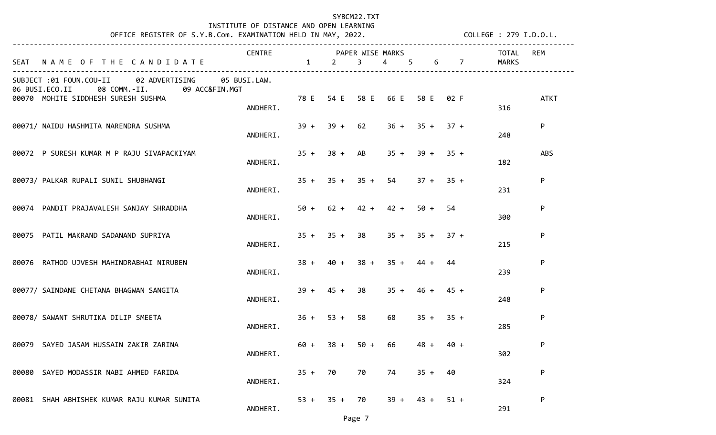# INSTITUTE OF DISTANCE AND OPEN LEARNING

OFFICE REGISTER OF S.Y.B.Com. EXAMINATION HELD IN MAY, 2022. COLLEGE : 279 I.D.O.L.

|                                                                                                         | CENTRE PAPER WISE MARKS |        |                  |                         |                               |                  |        |                   | TOTAL        | <b>REM</b>  |
|---------------------------------------------------------------------------------------------------------|-------------------------|--------|------------------|-------------------------|-------------------------------|------------------|--------|-------------------|--------------|-------------|
| SEAT NAME OF THE CANDIDATE                                                                              | $1 \t 2$                |        |                  | $\overline{\mathbf{3}}$ | $\overline{4}$                | $5 -$            |        | $6 \quad 7 \quad$ | <b>MARKS</b> |             |
| 02 ADVERTISING 05 BUSI.LAW.<br>SUBJECT :01 FOUN.COU-II<br>06 BUSI.ECO.II<br>08 COMM.-II. 09 ACC&FIN.MGT |                         |        |                  |                         |                               |                  |        |                   |              |             |
| 00070 MOHITE SIDDHESH SURESH SUSHMA                                                                     | ANDHERI.                |        |                  |                         | 78 E 54 E 58 E 66 E 58 E 02 F |                  |        |                   | 316          | <b>ATKT</b> |
| 00071/ NAIDU HASHMITA NARENDRA SUSHMA                                                                   | ANDHERI.                |        | $39 + 39 + 62$   |                         |                               | $36 + 35 + 37 +$ |        |                   | 248          | P           |
| 00072 P SURESH KUMAR M P RAJU SIVAPACKIYAM                                                              | ANDHERI.                |        | $35 + 38 + AB$   |                         |                               | $35 + 39 + 35 +$ |        |                   | 182          | <b>ABS</b>  |
|                                                                                                         |                         |        |                  |                         |                               |                  |        |                   |              |             |
| 00073/ PALKAR RUPALI SUNIL SHUBHANGI                                                                    | ANDHERI.                |        |                  |                         | $35 + 35 + 35 + 54$           | $37 + 35 +$      |        |                   | 231          | P           |
| 00074 PANDIT PRAJAVALESH SANJAY SHRADDHA                                                                | ANDHERI.                |        |                  |                         | $50 + 62 + 42 + 42 +$         | 50 +             | 54     |                   | 300          | P           |
| 00075 PATIL MAKRAND SADANAND SUPRIYA                                                                    | ANDHERI.                |        | $35 + 35 + 38$   |                         |                               | $35 + 35 + 37 +$ |        |                   | 215          | P           |
|                                                                                                         |                         |        |                  |                         |                               |                  |        |                   |              |             |
| 00076 RATHOD UJVESH MAHINDRABHAI NIRUBEN                                                                | ANDHERI.                | $38 +$ | $40 +$           |                         | $38 + 35 +$                   | $44 +$           | 44     |                   | 239          | P           |
| 00077/ SAINDANE CHETANA BHAGWAN SANGITA                                                                 | ANDHERI.                |        | $39 + 45 + 38$   |                         |                               | $35 + 46 + 45 +$ |        |                   | 248          | P           |
|                                                                                                         |                         |        |                  |                         |                               |                  |        |                   |              |             |
| 00078/ SAWANT SHRUTIKA DILIP SMEETA                                                                     | ANDHERI.                |        | $36 + 53 + 58$   |                         | 68                            | $35 + 35 +$      |        |                   | 285          | P           |
| 00079 SAYED JASAM HUSSAIN ZAKIR ZARINA                                                                  | ANDHERI.                |        | $60 + 38 + 50 +$ |                         | 66                            | $48 +$           | 40 +   |                   | 302          | P           |
| 00080 SAYED MODASSIR NABI AHMED FARIDA                                                                  |                         |        | $35 + 70$        | 70                      | 74                            | $35 + 40$        |        |                   |              | P           |
|                                                                                                         | ANDHERI.                |        |                  |                         |                               |                  |        |                   | 324          |             |
| 00081 SHAH ABHISHEK KUMAR RAJU KUMAR SUNITA                                                             | ANDHERI.                |        | $53 + 35 + 70$   |                         | $39 +$                        | $43 +$           | $51 +$ |                   | 291          | P           |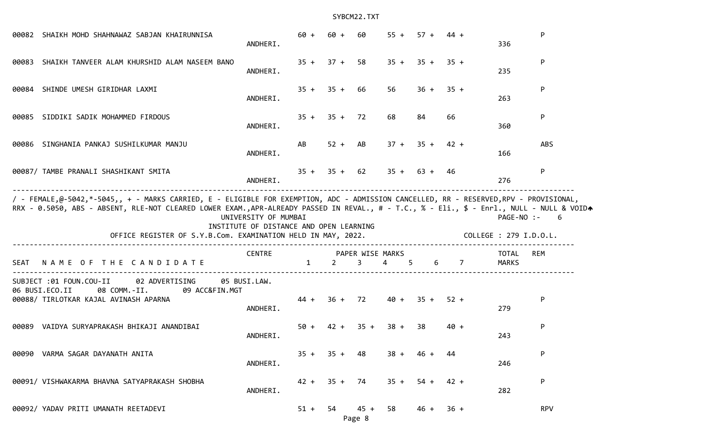| 00082 SHAIKH MOHD SHAHNAWAZ SABJAN KHAIRUNNISA                                                                                                                                                            | ANDHERI.                                                        | $60 +$       | $60 +$         | 60        |                                 | $55 + 57 + 44 +$ |        | 336                                  | P          |
|-----------------------------------------------------------------------------------------------------------------------------------------------------------------------------------------------------------|-----------------------------------------------------------------|--------------|----------------|-----------|---------------------------------|------------------|--------|--------------------------------------|------------|
| 00083 SHAIKH TANVEER ALAM KHURSHID ALAM NASEEM BANO                                                                                                                                                       | ANDHERI.                                                        |              | $35 + 37 + 58$ |           |                                 | $35 + 35 + 35 +$ |        | 235                                  | P          |
| 00084 SHINDE UMESH GIRIDHAR LAXMI                                                                                                                                                                         | ANDHERI.                                                        |              | $35 + 35 + 66$ |           | 56                              | $36 + 35 +$      |        | 263                                  | P          |
| 00085 SIDDIKI SADIK MOHAMMED FIRDOUS                                                                                                                                                                      | ANDHERI.                                                        |              | $35 + 35 + 72$ |           | 68                              | 84               | 66     | 360                                  | P          |
| 00086 SINGHANIA PANKAJ SUSHILKUMAR MANJU                                                                                                                                                                  | ANDHERI.                                                        | AB           |                | $52 + AB$ |                                 | $37 + 35 + 42 +$ |        | 166                                  | <b>ABS</b> |
| 00087/ TAMBE PRANALI SHASHIKANT SMITA                                                                                                                                                                     | ANDHERI.                                                        |              | $35 + 35 + 62$ |           |                                 | $35 + 63 + 46$   |        | 276                                  | P          |
| / - FEMALE,@-5042,*-5045,, + - MARKS CARRIED, E - ELIGIBLE FOR EXEMPTION, ADC - ADMISSION CANCELLED, RR - RESERVED,RPV - PROVISIONAL,                                                                     |                                                                 |              |                |           |                                 |                  |        |                                      |            |
| RRX - 0.5050, ABS - ABSENT, RLE-NOT CLEARED LOWER EXAM.,APR-ALREADY PASSED IN REVAL., # - T.C., % - Eli., \$ - Enrl., NULL - NULL & VOIDA<br>OFFICE REGISTER OF S.Y.B.Com. EXAMINATION HELD IN MAY, 2022. | UNIVERSITY OF MUMBAI<br>INSTITUTE OF DISTANCE AND OPEN LEARNING |              |                |           |                                 |                  |        | PAGE-NO :-<br>COLLEGE : 279 I.D.O.L. | 6          |
| NAME OF THE CANDIDATE<br>SEAT                                                                                                                                                                             | <b>CENTRE</b>                                                   | $\mathbf{1}$ |                |           | PAPER WISE MARKS<br>2 3 4 5 6 7 |                  |        | TOTAL<br>MARKS                       | REM        |
| SUBJECT :01 FOUN.COU-II<br>02 ADVERTISING<br>06 BUSI.ECO.II<br>08 COMM.-II.<br>09 ACC&FIN.MGT<br>00088/ TIRLOTKAR KAJAL AVINASH APARNA                                                                    | 05 BUSI.LAW.<br>ANDHERI.                                        |              |                |           | $44 + 36 + 72$ $40 + 35 + 52 +$ |                  |        | 279                                  | P          |
| 00089 VAIDYA SURYAPRAKASH BHIKAJI ANANDIBAI                                                                                                                                                               | ANDHERI.                                                        |              |                |           | $50 + 42 + 35 + 38 + 38$        |                  | $40 +$ | 243                                  | P          |
| 00090 VARMA SAGAR DAYANATH ANITA                                                                                                                                                                          | ANDHERI.                                                        |              | $35 + 35 + 48$ |           | $38 +$                          | $46 +$           | 44     | 246                                  | P          |
| 00091/ VISHWAKARMA BHAVNA SATYAPRAKASH SHOBHA                                                                                                                                                             | ANDHERI.                                                        |              | $42 + 35 + 74$ |           |                                 | $35 + 54 +$      | $42 +$ | 282                                  | P          |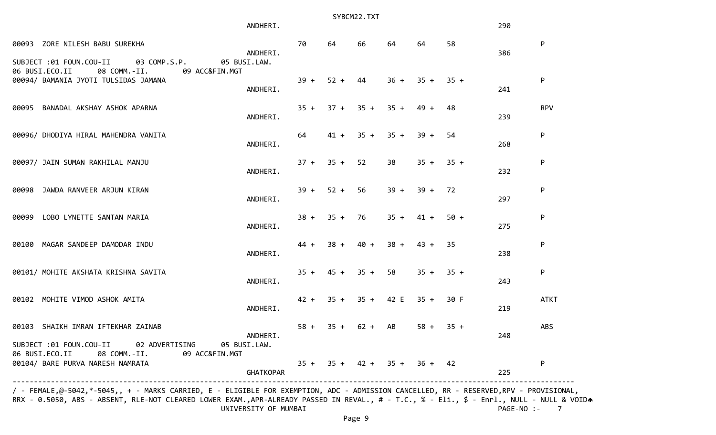|                                                                                                                                             | ANDHERI.                 |        |                | SYBCM22.TXT         |                       |                               |        | 290 |             |
|---------------------------------------------------------------------------------------------------------------------------------------------|--------------------------|--------|----------------|---------------------|-----------------------|-------------------------------|--------|-----|-------------|
| 00093 ZORE NILESH BABU SUREKHA<br>SUBJECT :01 FOUN.COU-II<br>03 COMP.S.P.                                                                   | ANDHERI.<br>05 BUSI.LAW. | 70     | 64             | 66                  | 64                    | 64                            | 58     | 386 | P           |
| 06 BUSI.ECO.II<br>08 COMM.-II.<br>09 ACC&FIN.MGT<br>00094/ BAMANIA JYOTI TULSIDAS JAMANA                                                    | ANDHERI.                 | $39 +$ | $52 +$         | 44                  | $36 +$                | $35 + 35 +$                   |        | 241 | P           |
| 00095 BANADAL AKSHAY ASHOK APARNA                                                                                                           | ANDHERI.                 |        |                |                     | $35 + 37 + 35 + 35 +$ | 49 +                          | 48     | 239 | <b>RPV</b>  |
| 00096/ DHODIYA HIRAL MAHENDRA VANITA                                                                                                        | ANDHERI.                 | 64     | $41 +$         |                     | $35 + 35 +$           | $39 +$                        | 54     | 268 | P           |
| 00097/ JAIN SUMAN RAKHILAL MANJU                                                                                                            | ANDHERI.                 |        | $37 + 35 +$    | 52                  | 38                    | $35 + 35 +$                   |        | 232 | P           |
| 00098 JAWDA RANVEER ARJUN KIRAN                                                                                                             | ANDHERI.                 | $39 +$ | $52 +$         | 56                  | $39 +$                | $39 +$                        | 72     | 297 | P           |
| 00099 LOBO LYNETTE SANTAN MARIA                                                                                                             | ANDHERI.                 |        | $38 + 35 + 76$ |                     | $35 +$                | $41 +$                        | $50 +$ | 275 | P           |
| 00100 MAGAR SANDEEP DAMODAR INDU                                                                                                            | ANDHERI.                 | $44 +$ | $38 +$         | $40 +$              | $38 +$                | $43 +$                        | 35     | 238 | P           |
| 00101/ MOHITE AKSHATA KRISHNA SAVITA                                                                                                        | ANDHERI.                 |        | $35 + 45 +$    | $35 +$              | 58                    | $35 + 35 +$                   |        | 243 | P           |
| 00102 MOHITE VIMOD ASHOK AMITA                                                                                                              | ANDHERI.                 |        |                |                     | $42 + 35 + 35 + 42$ E | $35 +$                        | 30 F   | 219 | <b>ATKT</b> |
| 00103 SHAIKH IMRAN IFTEKHAR ZAINAB                                                                                                          | ANDHERI.                 |        |                | $58 + 35 + 62 + AB$ |                       | $58 + 35 +$                   |        | 248 | <b>ABS</b>  |
| SUBJECT :01 FOUN.COU-II 02 ADVERTISING 05 BUSI.LAW.<br>06 BUSI.ECO.II<br>08 COMM.-II.<br>09 ACC&FIN.MGT<br>00104/ BARE PURVA NARESH NAMRATA | <b>GHATKOPAR</b>         |        |                |                     |                       | $35 + 35 + 42 + 35 + 36 + 42$ |        | 225 | P           |

 / - FEMALE,@-5042,\*-5045,, + - MARKS CARRIED, E - ELIGIBLE FOR EXEMPTION, ADC - ADMISSION CANCELLED, RR - RESERVED,RPV - PROVISIONAL, RRX - 0.5050, ABS - ABSENT, RLE-NOT CLEARED LOWER EXAM.,APR-ALREADY PASSED IN REVAL., # - T.C., % - Eli., \$ - Enrl., NULL - NULL & VOIDA UNIVERSITY OF MUMBAI **PAGE-NO** :- 7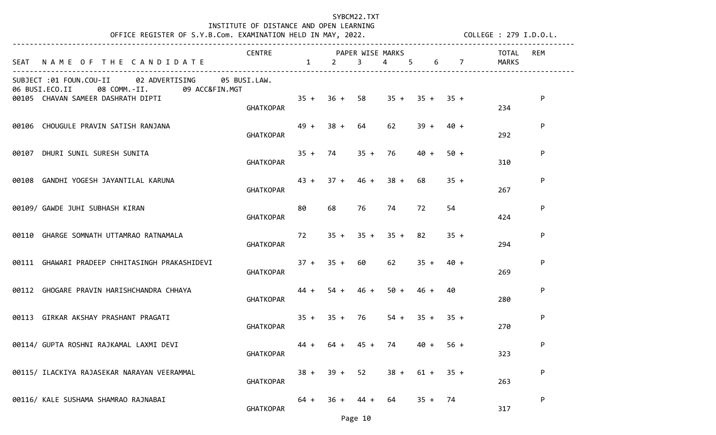# INSTITUTE OF DISTANCE AND OPEN LEARNING

OFFICE REGISTER OF S.Y.B.Com. EXAMINATION HELD IN MAY, 2022. COLLEGE : 279 I.D.O.L.

|                                                                                                         | CENTRE PAPER WISE MARKS |                                 |    |                       |                                 |                  |        |           | TOTAL | <b>REM</b> |
|---------------------------------------------------------------------------------------------------------|-------------------------|---------------------------------|----|-----------------------|---------------------------------|------------------|--------|-----------|-------|------------|
| SEAT NAME OF THE CANDIDATE 1 2 3                                                                        |                         |                                 |    |                       | 4 5                             |                  |        | 6 7 MARKS |       |            |
| SUBJECT :01 FOUN.COU-II<br>02 ADVERTISING 05 BUSI.LAW.<br>06 BUSI.ECO.II<br>08 COMM.-II. 09 ACC&FIN.MGT |                         |                                 |    |                       |                                 |                  |        |           |       |            |
| 00105 CHAVAN SAMEER DASHRATH DIPTI                                                                      |                         | $35 + 36 + 58$ $35 + 35 + 35 +$ |    |                       |                                 |                  |        |           |       | P          |
|                                                                                                         | <b>GHATKOPAR</b>        |                                 |    |                       |                                 |                  |        |           | 234   |            |
| 00106 CHOUGULE PRAVIN SATISH RANJANA                                                                    |                         |                                 |    | $49 + 38 + 64$        | 62 —                            | $39 +$           | 40 +   |           |       | P          |
|                                                                                                         | <b>GHATKOPAR</b>        |                                 |    |                       |                                 |                  |        |           | 292   |            |
| 00107 DHURI SUNIL SURESH SUNITA                                                                         |                         |                                 |    |                       | $35 + 74$ $35 + 76$             | $40 +$           | $50 +$ |           |       | P          |
|                                                                                                         | <b>GHATKOPAR</b>        |                                 |    |                       |                                 |                  |        |           | 310   |            |
| 00108 GANDHI YOGESH JAYANTILAL KARUNA                                                                   |                         |                                 |    | $43 + 37 + 46 + 38 +$ |                                 | 68               | $35 +$ |           |       | P          |
|                                                                                                         | GHATKOPAR               |                                 |    |                       |                                 |                  |        |           | 267   |            |
| 00109/ GAWDE JUHI SUBHASH KIRAN                                                                         |                         | 80                              | 68 | 76                    | 74                              | 72               | 54     |           |       | P          |
|                                                                                                         | <b>GHATKOPAR</b>        |                                 |    |                       |                                 |                  |        |           | 424   |            |
| 00110 GHARGE SOMNATH UTTAMRAO RATNAMALA                                                                 |                         |                                 |    |                       | $72$ $35 + 35 + 35 + 82$        |                  | $35 +$ |           |       | P          |
|                                                                                                         | GHATKOPAR               |                                 |    |                       |                                 |                  |        |           | 294   |            |
| 00111 GHAWARI PRADEEP CHHITASINGH PRAKASHIDEVI                                                          | <b>GHATKOPAR</b>        |                                 |    | $37 + 35 + 60$        |                                 | $62$ $35 + 40 +$ |        |           | 269   | P          |
|                                                                                                         |                         |                                 |    |                       |                                 |                  |        |           |       |            |
| 00112 GHOGARE PRAVIN HARISHCHANDRA CHHAYA                                                               | GHATKOPAR               |                                 |    | $44 + 54 + 46 +$      |                                 | $50 + 46 +$      | 40     |           | 280   | P          |
|                                                                                                         |                         |                                 |    |                       |                                 |                  |        |           |       |            |
| 00113 GIRKAR AKSHAY PRASHANT PRAGATI                                                                    | GHATKOPAR               |                                 |    | $35 + 35 + 76$        |                                 | $54 + 35 + 35 +$ |        |           | 270   | P          |
|                                                                                                         |                         |                                 |    |                       |                                 |                  |        |           |       |            |
| 00114/ GUPTA ROSHNI RAJKAMAL LAXMI DEVI                                                                 | <b>GHATKOPAR</b>        | $44 +$                          |    |                       | $64 + 45 + 74$                  | 40 +             | $56 +$ |           | 323   | P          |
|                                                                                                         |                         |                                 |    |                       |                                 |                  |        |           |       |            |
| 00115/ ILACKIYA RAJASEKAR NARAYAN VEERAMMAL                                                             | <b>GHATKOPAR</b>        |                                 |    |                       | $38 + 39 + 52$ $38 + 61 + 35 +$ |                  |        |           | 263   | P          |
|                                                                                                         |                         |                                 |    |                       |                                 |                  |        |           |       |            |
| 00116/ KALE SUSHAMA SHAMRAO RAJNABAI                                                                    | <b>GHATKOPAR</b>        | $64 +$                          |    | $36 + 44 + 64$        |                                 | $35 + 74$        |        |           | 317   | P          |

Page 10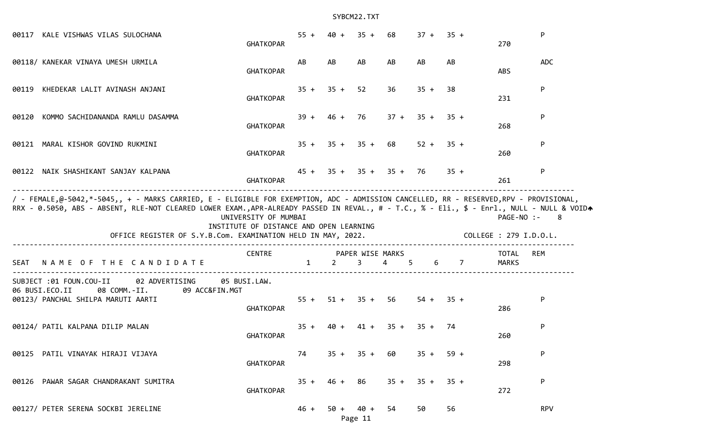| 00117 KALE VISHWAS VILAS SULOCHANA                                                                                                                                                                        | <b>GHATKOPAR</b>                                                | $55 + 40 +$            |                     | $35 + 68$      |                                   | $37 + 35 +$      |        | 270                                  | P          |
|-----------------------------------------------------------------------------------------------------------------------------------------------------------------------------------------------------------|-----------------------------------------------------------------|------------------------|---------------------|----------------|-----------------------------------|------------------|--------|--------------------------------------|------------|
| 00118/ KANEKAR VINAYA UMESH URMILA                                                                                                                                                                        | <b>GHATKOPAR</b>                                                | AB                     | AB                  | AB             | AB                                | AB               | AB     | <b>ABS</b>                           | <b>ADC</b> |
| 00119 KHEDEKAR LALIT AVINASH ANJANI                                                                                                                                                                       | <b>GHATKOPAR</b>                                                |                        | $35 + 35 + 52$      |                | 36                                | $35 + 38$        |        | 231                                  | P          |
| 00120 KOMMO SACHIDANANDA RAMLU DASAMMA                                                                                                                                                                    | <b>GHATKOPAR</b>                                                |                        |                     |                | $39 + 46 + 76$ $37 + 35 + 35 +$   |                  |        | 268                                  | P          |
| 00121 MARAL KISHOR GOVIND RUKMINI                                                                                                                                                                         | <b>GHATKOPAR</b>                                                |                        |                     |                | $35 + 35 + 35 + 68$ $52 + 35 +$   |                  |        | 260                                  | P          |
| 00122 NAIK SHASHIKANT SANJAY KALPANA                                                                                                                                                                      | <b>GHATKOPAR</b>                                                |                        |                     |                | $45 + 35 + 35 + 35 + 76$          |                  | $35 +$ | 261                                  | P          |
| / - FEMALE,@-5042,*-5045,, + - MARKS CARRIED, E - ELIGIBLE FOR EXEMPTION, ADC - ADMISSION CANCELLED, RR - RESERVED,RPV - PROVISIONAL,                                                                     |                                                                 |                        |                     |                |                                   |                  |        |                                      |            |
| RRX - 0.5050, ABS - ABSENT, RLE-NOT CLEARED LOWER EXAM.,APR-ALREADY PASSED IN REVAL., # - T.C., % - Eli., \$ - Enrl., NULL - NULL & VOIDA<br>OFFICE REGISTER OF S.Y.B.Com. EXAMINATION HELD IN MAY, 2022. | UNIVERSITY OF MUMBAI<br>INSTITUTE OF DISTANCE AND OPEN LEARNING |                        |                     |                |                                   |                  |        | PAGE-NO :-<br>COLLEGE : 279 I.D.O.L. | 8          |
| NAME OF THE CANDIDATE<br>SEAT                                                                                                                                                                             | CENTRE                                                          | $1 \quad \blacksquare$ |                     |                | PAPER WISE MARKS<br>$2$ 3 4 5 6 7 |                  |        | TOTAL<br>MARKS                       | REM        |
| SUBJECT :01 FOUN.COU-II<br>02 ADVERTISING<br>08 COMM.-II.<br>06 BUSI.ECO.II<br>09 ACC&FIN.MGT<br>00123/ PANCHAL SHILPA MARUTI AARTI                                                                       | 05 BUSI.LAW.<br><b>GHATKOPAR</b>                                |                        | $55 + 51 + 35 + 56$ |                |                                   | $54 + 35 +$      |        | 286                                  | P          |
| 00124/ PATIL KALPANA DILIP MALAN                                                                                                                                                                          | <b>GHATKOPAR</b>                                                |                        |                     |                | $35 + 40 + 41 + 35 + 35 + 74$     |                  |        | 260                                  | P          |
| 00125 PATIL VINAYAK HIRAJI VIJAYA                                                                                                                                                                         | <b>GHATKOPAR</b>                                                | 74                     |                     | $35 + 35 + 60$ |                                   | $35 + 59 +$      |        | 298                                  | P          |
| 00126 PAWAR SAGAR CHANDRAKANT SUMITRA                                                                                                                                                                     | <b>GHATKOPAR</b>                                                |                        | $35 + 46 +$         | 86             |                                   | $35 + 35 + 35 +$ |        | 272                                  | P          |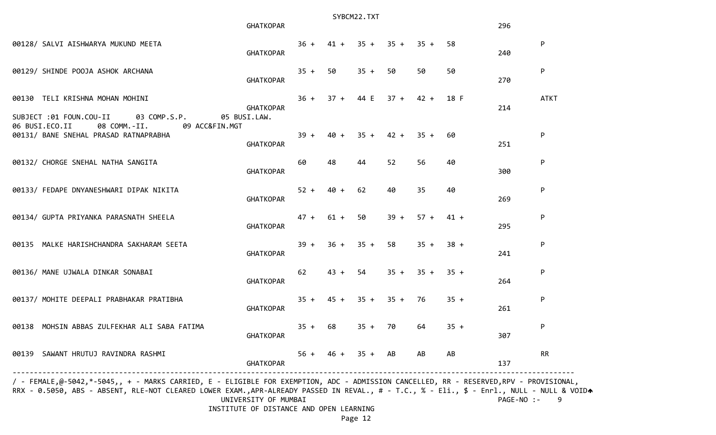|                                                                                           | <b>GHATKOPAR</b>                 |           | SYBCM22.TXT |             | 296                          |        |        |     |              |
|-------------------------------------------------------------------------------------------|----------------------------------|-----------|-------------|-------------|------------------------------|--------|--------|-----|--------------|
| 00128/ SALVI AISHWARYA MUKUND MEETA                                                       | <b>GHATKOPAR</b>                 |           |             |             | $36 + 41 + 35 + 35 + 35 +$   |        | 58     | 240 | P            |
| 00129/ SHINDE POOJA ASHOK ARCHANA                                                         | <b>GHATKOPAR</b>                 | $35 + 50$ |             | $35 + 50$   |                              | 50     | 50     | 270 | P            |
| 00130 TELI KRISHNA MOHAN MOHINI<br>SUBJECT :01 FOUN.COU-II 03 COMP.S.P.                   | <b>GHATKOPAR</b><br>05 BUSI.LAW. |           |             |             | $36 + 37 + 44$ E $37 + 42 +$ |        | 18 F   | 214 | <b>ATKT</b>  |
| 06 BUSI.ECO.II<br>08 COMM.-II.<br>09 ACC&FIN.MGT<br>00131/ BANE SNEHAL PRASAD RATNAPRABHA | GHATKOPAR                        | $39 +$    | $40 +$      | $35 + 42 +$ |                              | $35 +$ | 60     | 251 | $\mathsf{P}$ |
| 00132/ CHORGE SNEHAL NATHA SANGITA                                                        | <b>GHATKOPAR</b>                 | 60        | 48          | 44          | 52                           | 56     | 40     | 300 | ${\sf P}$    |
| 00133/ FEDAPE DNYANESHWARI DIPAK NIKITA                                                   | <b>GHATKOPAR</b>                 | $52 +$    | $40 +$      | 62          | 40                           | 35     | 40     | 269 | P            |
| 00134/ GUPTA PRIYANKA PARASNATH SHEELA                                                    | <b>GHATKOPAR</b>                 |           | $47 + 61 +$ | 50          | $39 +$                       | $57 +$ | $41 +$ | 295 | ${\sf P}$    |
| 00135 MALKE HARISHCHANDRA SAKHARAM SEETA                                                  | <b>GHATKOPAR</b>                 | $39 +$    |             | $36 + 35 +$ | 58                           | $35 +$ | $38 +$ | 241 | ${\sf P}$    |
| 00136/ MANE UJWALA DINKAR SONABAI                                                         | <b>GHATKOPAR</b>                 | 62        | $43 +$      | 54          | $35 + 35 +$                  |        | $35 +$ | 264 | ${\sf P}$    |
| 00137/ MOHITE DEEPALI PRABHAKAR PRATIBHA                                                  | <b>GHATKOPAR</b>                 | $35 +$    | $45 +$      |             | $35 + 35 + 76$               |        | $35 +$ | 261 | ${\sf P}$    |
| 00138 MOHSIN ABBAS ZULFEKHAR ALI SABA FATIMA                                              | <b>GHATKOPAR</b>                 |           | $35 + 68$   | $35 + 70$   |                              | 64     | $35 +$ | 307 | P            |
| 00139 SAWANT HRUTUJ RAVINDRA RASHMI                                                       | <b>GHATKOPAR</b>                 | $56 +$    | $46 +$      | $35 + AB$   |                              | AB     | AB     | 137 | <b>RR</b>    |

/ - FEMALE,@-5042,\*-5045,, + - MARKS CARRIED, E - ELIGIBLE FOR EXEMPTION, ADC - ADMISSION CANCELLED, RR - RESERVED,RPV - PROVISIONAL, RRX - 0.5050, ABS - ABSENT, RLE-NOT CLEARED LOWER EXAM.,APR-ALREADY PASSED IN REVAL., # - T.C., % - Eli., \$ - Enrl., NULL - NULL & VOIDA UNIVERSITY OF MUMBAI PAGE-NO :- 9

INSTITUTE OF DISTANCE AND OPEN LEARNING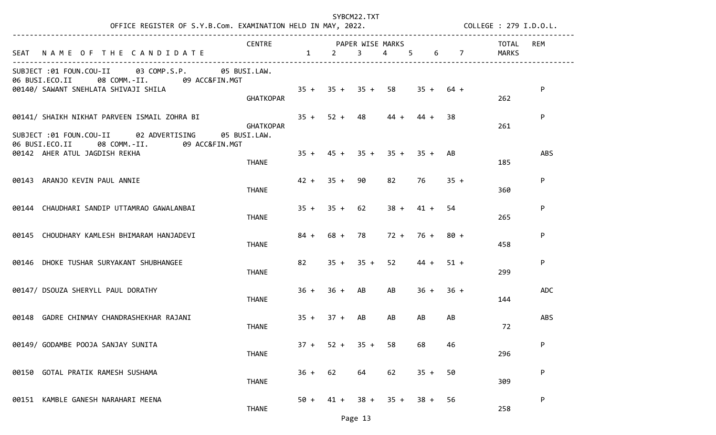| OFFICE REGISTER OF S.Y.B.Com. EXAMINATION HELD IN MAY, 2022. COLLEGE : 279 I.D.O.L.             |                         |          |                |                     |                     |                            |                |       |            |
|-------------------------------------------------------------------------------------------------|-------------------------|----------|----------------|---------------------|---------------------|----------------------------|----------------|-------|------------|
|                                                                                                 | CENTRE PAPER WISE MARKS |          |                |                     |                     |                            |                | TOTAL | REM        |
| SEAT NAME OF THE CANDIDATE                                                                      |                         | $1 \t 2$ |                | $3^{\circ}$         | $\overline{4}$<br>5 | 6                          | $\overline{7}$ | MARKS |            |
| SUBJECT :01 FOUN.COU-II 03 COMP.S.P. 05 BUSI.LAW.<br>06 BUSI.ECO.II 08 COMM.-II. 09 ACC&FIN.MGT |                         |          |                |                     |                     |                            |                |       |            |
| 00140/ SAWANT SNEHLATA SHIVAJI SHILA<br>GHATKOPAR                                               |                         |          |                | $35 + 35 + 35 + 58$ |                     | $35 + 64 +$                |                | 262   | P          |
| 00141/ SHAIKH NIKHAT PARVEEN ISMAIL ZOHRA BI                                                    | <b>GHATKOPAR</b>        |          |                | $35 + 52 + 48$ 44 + |                     | 44 +                       | 38             | 261   | P          |
| SUBJECT :01 FOUN.COU-II 02 ADVERTISING<br>06 BUSI.ECO.II 08 COMM.-II. 09 ACC&FIN.MGT            | 05 BUSI.LAW.            |          |                |                     |                     |                            |                |       |            |
| 00142 AHER ATUL JAGDISH REKHA                                                                   | <b>THANE</b>            |          |                |                     |                     | $35 + 45 + 35 + 35 + 35 +$ | AB             | 185   | <b>ABS</b> |
| 00143 ARANJO KEVIN PAUL ANNIE                                                                   | <b>THANE</b>            |          | $42 + 35 + 90$ |                     | 82                  | 76                         | $35 +$         | 360   | P          |
| 00144 CHAUDHARI SANDIP UTTAMRAO GAWALANBAI                                                      | <b>THANE</b>            |          | $35 + 35 + 62$ |                     |                     | $38 + 41 +$                | 54             | 265   | P          |
| 00145 CHOUDHARY KAMLESH BHIMARAM HANJADEVI                                                      | <b>THANE</b>            | $84 +$   |                | 68 + 78             |                     | $72 + 76 + 80 +$           |                | 458   | P          |
| 00146 DHOKE TUSHAR SURYAKANT SHUBHANGEE                                                         | <b>THANE</b>            | 82       |                | $35 + 35 +$         |                     | $44 +$                     | $51 +$         | 299   | P          |
| 00147/ DSOUZA SHERYLL PAUL DORATHY                                                              | <b>THANE</b>            |          | $36 + 36 + AB$ |                     | AB                  | $36 +$                     | $36 +$         | 144   | <b>ADC</b> |
| 00148 GADRE CHINMAY CHANDRASHEKHAR RAJANI                                                       | <b>THANE</b>            | $35 +$   | $37 +$         | AB                  | AB                  | AB                         | AB             | 72    | <b>ABS</b> |
| 00149/ GODAMBE POOJA SANJAY SUNITA                                                              | <b>THANE</b>            |          | $37 + 52 +$    | $35 +$              | 58                  | 68                         | 46             | 296   | P          |
| 00150 GOTAL PRATIK RAMESH SUSHAMA                                                               | <b>THANE</b>            | $36 +$   | 62             | 64                  | 62                  | $35 +$                     | 50             | 309   | P          |
| 00151 KAMBLE GANESH NARAHARI MEENA                                                              | <b>THANE</b>            | $50 +$   | $41 +$         | $38 +$              | $35 +$              | $38 +$                     | 56             | 258   | P          |

Page 13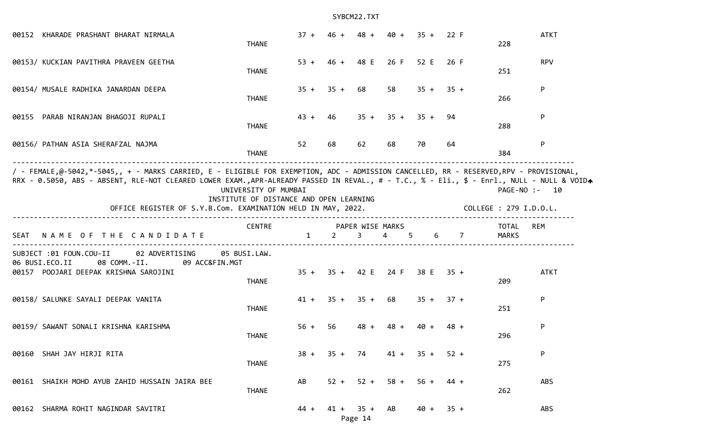| 00152 KHARADE PRASHANT BHARAT NIRMALA                                                                                                                                                                                                                                                                                                              | <b>THANE</b>                                                    |              |                     |         | $37 + 46 + 48 + 40 + 35 + 22$ F                 |             |        | 228 | <b>ATKT</b>                             |
|----------------------------------------------------------------------------------------------------------------------------------------------------------------------------------------------------------------------------------------------------------------------------------------------------------------------------------------------------|-----------------------------------------------------------------|--------------|---------------------|---------|-------------------------------------------------|-------------|--------|-----|-----------------------------------------|
| 00153/ KUCKIAN PAVITHRA PRAVEEN GEETHA                                                                                                                                                                                                                                                                                                             | <b>THANE</b>                                                    |              |                     |         | 53 + 46 + 48 E 26 F 52 E 26 F                   |             |        | 251 | <b>RPV</b>                              |
| 00154/ MUSALE RADHIKA JANARDAN DEEPA                                                                                                                                                                                                                                                                                                               | <b>THANE</b>                                                    |              | $35 + 35 + 68$      |         | 58                                              | $35 + 35 +$ |        | 266 | P                                       |
| 00155 PARAB NIRANJAN BHAGOJI RUPALI                                                                                                                                                                                                                                                                                                                | <b>THANE</b>                                                    | $43 +$       | 46                  |         | $35 + 35 + 35 +$                                |             | 94     | 288 | P                                       |
| 00156/ PATHAN ASIA SHERAFZAL NAJMA                                                                                                                                                                                                                                                                                                                 | <b>THANE</b>                                                    | 52           | 68                  | 62      | 68                                              | 70          | 64     | 384 | P                                       |
| / - FEMALE,@-5042,*-5045,, + - MARKS CARRIED, E - ELIGIBLE FOR EXEMPTION, ADC - ADMISSION CANCELLED, RR - RESERVED,RPV - PROVISIONAL,<br>RRX - 0.5050, ABS - ABSENT, RLE-NOT CLEARED LOWER EXAM.,APR-ALREADY PASSED IN REVAL., # - T.C., % - Eli., \$ - Enrl., NULL - NULL & VOIDA<br>OFFICE REGISTER OF S.Y.B.Com. EXAMINATION HELD IN MAY, 2022. | UNIVERSITY OF MUMBAI<br>INSTITUTE OF DISTANCE AND OPEN LEARNING |              |                     |         |                                                 |             |        |     | PAGE-NO :- 10<br>COLLEGE : 279 I.D.O.L. |
| SEAT NAME OF THE CANDIDATE                                                                                                                                                                                                                                                                                                                         | <b>CENTRE</b>                                                   | $\mathbf{1}$ |                     |         | PAPER WISE MARKS<br>$2 \quad 3 \quad 4 \quad 5$ |             |        | 6 7 | REM<br>TOTAL<br>MARKS                   |
| SUBJECT :01 FOUN.COU-II<br>02 ADVERTISING<br>06 BUSI.ECO.II<br>08 COMM.-II.<br>09 ACC&FIN.MGT<br>00157 POOJARI DEEPAK KRISHNA SAROJINI                                                                                                                                                                                                             | 05 BUSI.LAW.<br><b>THANE</b>                                    |              |                     |         | 35 + 35 + 42 E 24 F 38 E 35 +                   |             |        | 209 | <b>ATKT</b>                             |
| 00158/ SALUNKE SAYALI DEEPAK VANITA                                                                                                                                                                                                                                                                                                                | <b>THANE</b>                                                    |              | $41 + 35 + 35 + 68$ |         |                                                 | $35 + 37 +$ |        | 251 | P                                       |
| 00159/ SAWANT SONALI KRISHNA KARISHMA                                                                                                                                                                                                                                                                                                              | <b>THANE</b>                                                    | $56 +$       | 56                  |         | $48 + 48 + 40 +$                                |             | $48 +$ | 296 | P                                       |
| 00160 SHAH JAY HIRJI RITA                                                                                                                                                                                                                                                                                                                          | <b>THANE</b>                                                    |              | $38 + 35 + 74$      |         | $41 + 35 + 52 +$                                |             |        | 275 | P                                       |
| 00161 SHAIKH MOHD AYUB ZAHID HUSSAIN JAIRA BEE                                                                                                                                                                                                                                                                                                     | <b>THANE</b>                                                    | AB           |                     |         | $52 + 52 + 58 + 56 + 44 +$                      |             |        | 262 | <b>ABS</b>                              |
| 00162 SHARMA ROHIT NAGINDAR SAVITRI                                                                                                                                                                                                                                                                                                                |                                                                 |              | $44 + 41 + 35 + AB$ | Page 14 |                                                 | $40 + 35 +$ |        |     | ABS                                     |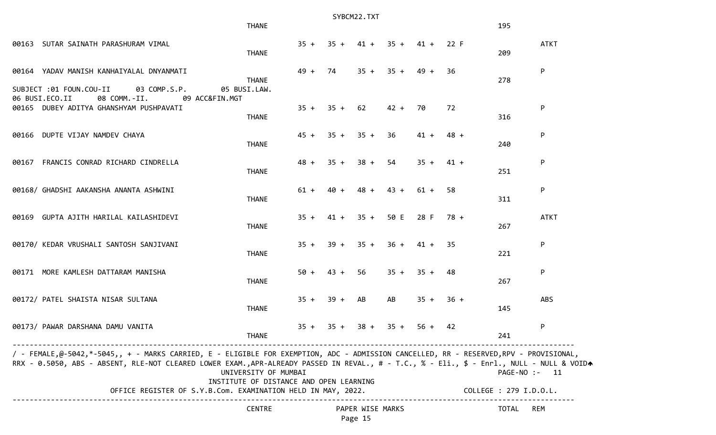| SYBCM22.TXT                                                                                                                                                                                                                                                                        |                                                                 |        |             |                             |                                 |                |      |  |                        |             |
|------------------------------------------------------------------------------------------------------------------------------------------------------------------------------------------------------------------------------------------------------------------------------------|-----------------------------------------------------------------|--------|-------------|-----------------------------|---------------------------------|----------------|------|--|------------------------|-------------|
|                                                                                                                                                                                                                                                                                    | <b>THANE</b>                                                    |        |             |                             |                                 |                |      |  | 195                    |             |
| 00163 SUTAR SAINATH PARASHURAM VIMAL                                                                                                                                                                                                                                               | <b>THANE</b>                                                    |        |             |                             | $35 + 35 + 41 + 35 + 41 + 22$ F |                |      |  | 209                    | <b>ATKT</b> |
| 00164 YADAV MANISH KANHAIYALAL DNYANMATI                                                                                                                                                                                                                                           | <b>THANE</b>                                                    | $49 +$ | 74          |                             | $35 + 35 + 49 +$                |                | -36  |  | 278                    | P           |
| SUBJECT :01 FOUN.COU-II<br>03 COMP.S.P.<br>06 BUSI.ECO.II<br>08 COMM.-II.<br>09 ACC&FIN.MGT                                                                                                                                                                                        | 05 BUSI.LAW.                                                    |        |             |                             |                                 |                |      |  |                        |             |
| 00165 DUBEY ADITYA GHANSHYAM PUSHPAVATI                                                                                                                                                                                                                                            | <b>THANE</b>                                                    | $35 +$ | $35 + 62$   |                             | 42 + 70                         |                | 72   |  | 316                    | P           |
| 00166 DUPTE VIJAY NAMDEV CHAYA                                                                                                                                                                                                                                                     | <b>THANE</b>                                                    |        |             | $45 + 35 + 35 +$            | 36                              | $41 +$         | 48 + |  | 240                    | P           |
| 00167 FRANCIS CONRAD RICHARD CINDRELLA                                                                                                                                                                                                                                             | <b>THANE</b>                                                    |        | $48 + 35 +$ | $38 +$                      | 54                              | $35 + 41 +$    |      |  | 251                    | P           |
| 00168/ GHADSHI AAKANSHA ANANTA ASHWINI                                                                                                                                                                                                                                             | <b>THANE</b>                                                    | $61 +$ | $40 +$      | $48 +$                      | $43 +$                          | 61 +           | -58  |  | 311                    | P           |
| 00169 GUPTA AJITH HARILAL KAILASHIDEVI                                                                                                                                                                                                                                             | <b>THANE</b>                                                    |        |             | $35 + 41 + 35 +$            |                                 | 50 E 28 F 78 + |      |  | 267                    | <b>ATKT</b> |
| 00170/ KEDAR VRUSHALI SANTOSH SANJIVANI                                                                                                                                                                                                                                            | <b>THANE</b>                                                    | $35 +$ | 39 +        | $35 +$                      | $36 +$                          | 41 +           | -35  |  | 221                    | P           |
| 00171 MORE KAMLESH DATTARAM MANISHA                                                                                                                                                                                                                                                | <b>THANE</b>                                                    |        | $50 + 43 +$ | 56                          |                                 | $35 + 35 + 48$ |      |  | 267                    | P           |
| 00172/ PATEL SHAISTA NISAR SULTANA                                                                                                                                                                                                                                                 | <b>THANE</b>                                                    |        | $35 + 39 +$ | AB                          | AB                              | $35 + 36 +$    |      |  | 145                    | ABS         |
| 00173/ PAWAR DARSHANA DAMU VANITA                                                                                                                                                                                                                                                  | <b>THANE</b>                                                    |        | $35 + 35 +$ | $38 +$                      |                                 | $35 + 56 + 42$ |      |  | 241                    | P           |
| / - FEMALE,@-5042,*-5045,, + - MARKS CARRIED, E - ELIGIBLE FOR EXEMPTION, ADC - ADMISSION CANCELLED, RR - RESERVED,RPV - PROVISIONAL,<br>RRX - 0.5050, ABS - ABSENT, RLE-NOT CLEARED LOWER EXAM.,APR-ALREADY PASSED IN REVAL., # - T.C., % - Eli., \$ - Enrl., NULL - NULL & VOIDA | UNIVERSITY OF MUMBAI<br>INSTITUTE OF DISTANCE AND OPEN LEARNING |        |             |                             |                                 |                |      |  | PAGE-NO :- 11          |             |
| OFFICE REGISTER OF S.Y.B.Com. EXAMINATION HELD IN MAY, 2022.                                                                                                                                                                                                                       |                                                                 |        |             |                             |                                 |                |      |  | COLLEGE : 279 I.D.O.L. |             |
|                                                                                                                                                                                                                                                                                    | <b>CENTRE</b>                                                   |        |             | PAPER WISE MARKS<br>Page 15 |                                 |                |      |  | TOTAL                  | REM         |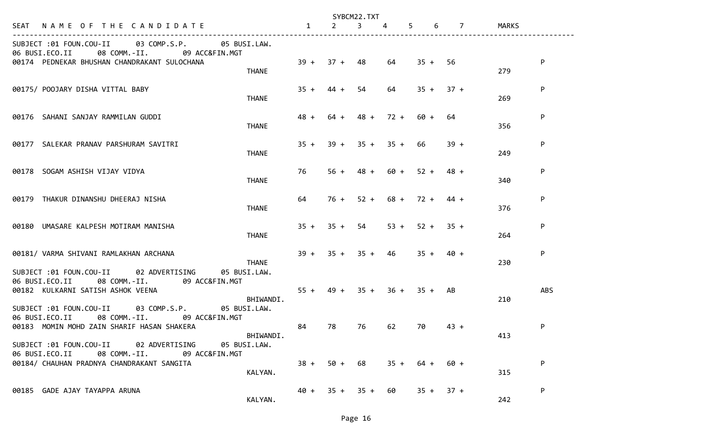|                                                                                                                                                                        |              |                     | SYBCM22.TXT    |                |                     |                |                   |
|------------------------------------------------------------------------------------------------------------------------------------------------------------------------|--------------|---------------------|----------------|----------------|---------------------|----------------|-------------------|
| SEAT NAME OF THE CANDIDATE                                                                                                                                             | $\mathbf{1}$ | $2^{\circ}$         | $\overline{3}$ | 4              | 5 <sup>5</sup><br>6 | $\overline{7}$ | MARKS             |
| SUBJECT :01 FOUN.COU-II 03 COMP.S.P.<br>05 BUSI.LAW.<br>06 BUSI.ECO.II<br>08 COMM.-II.<br>09 ACC&FIN.MGT                                                               |              |                     |                |                |                     |                |                   |
| 00174 PEDNEKAR BHUSHAN CHANDRAKANT SULOCHANA<br><b>THANE</b>                                                                                                           | $39 +$       | $37 + 48$           |                | 64             | $35 +$              | 56             | P<br>279          |
| 00175/ POOJARY DISHA VITTAL BABY<br><b>THANE</b>                                                                                                                       | $35 +$       | $44 +$              | 54             | 64             | $35 +$              | $37 +$         | P<br>269          |
| 00176 SAHANI SANJAY RAMMILAN GUDDI<br><b>THANE</b>                                                                                                                     | $48 +$       | 64 +                | $48 +$         | $72 +$         | 60 +                | 64             | P<br>356          |
| 00177 SALEKAR PRANAV PARSHURAM SAVITRI<br><b>THANE</b>                                                                                                                 | $35 +$       | $39 +$              |                | $35 + 35 + 66$ |                     | $39 +$         | P<br>249          |
| 00178 SOGAM ASHISH VIJAY VIDYA<br><b>THANE</b>                                                                                                                         | 76           | $56 +$              | $48 +$         | 60 +           | $52 +$              | 48 +           | ${\sf P}$<br>340  |
| 00179 THAKUR DINANSHU DHEERAJ NISHA<br><b>THANE</b>                                                                                                                    | 64           | 76 +                |                |                | $52 + 68 + 72 +$    | 44 +           | P<br>376          |
| 00180 UMASARE KALPESH MOTIRAM MANISHA<br><b>THANE</b>                                                                                                                  | $35 +$       | $35 +$              | 54             | $53 +$         | $52 +$              | $35 +$         | P<br>264          |
| 00181/ VARMA SHIVANI RAMLAKHAN ARCHANA<br><b>THANE</b><br>SUBJECT :01 FOUN.COU-II 02 ADVERTISING<br>05 BUSI.LAW.                                                       |              | $39 + 35 + 35 + 46$ |                |                | $35 +$              | 40 +           | P<br>230          |
| 06 BUSI.ECO.II 08 COMM.-II. 09 ACC&FIN.MGT<br>00182 KULKARNI SATISH ASHOK VEENA<br>BHIWANDI.                                                                           | $55 +$       | 49 +                | $35 +$         | $36 +$         | $35 +$              | AB             | <b>ABS</b><br>210 |
| SUBJECT :01 FOUN.COU-II<br>03 COMP.S.P.<br>05 BUSI.LAW.<br>06 BUSI.ECO.II<br>08 COMM.-II.<br>09 ACC&FIN.MGT<br>00183 MOMIN MOHD ZAIN SHARIF HASAN SHAKERA<br>BHIWANDI. | 84           | 78 —                | 76             | 62             | 70                  | $43 +$         | P<br>413          |
| SUBJECT :01 FOUN.COU-II 02 ADVERTISING<br>05 BUSI.LAW.<br>06 BUSI.ECO.II 08 COMM.-II. 09 ACC&FIN.MGT<br>00184/ CHAUHAN PRADNYA CHANDRAKANT SANGITA<br>KALYAN.          | $38 +$       |                     | $50 + 68$      | $35 +$         | 64 +                | 60 +           | P<br>315          |
| 00185 GADE AJAY TAYAPPA ARUNA<br>KALYAN.                                                                                                                               |              | $40 + 35 + 35 + 60$ |                |                | $35 +$              | $37 +$         | P<br>242          |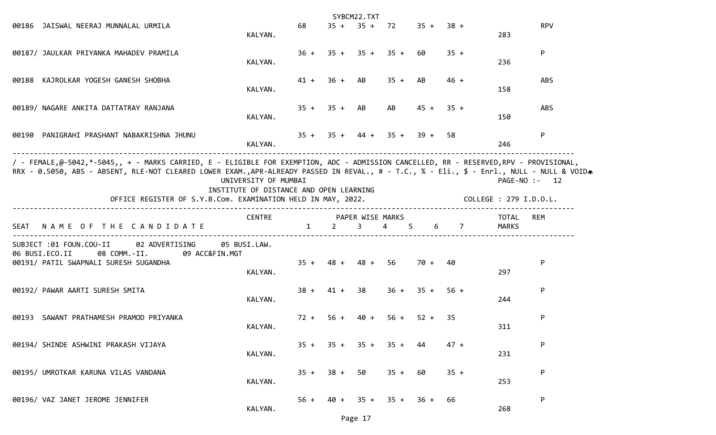|                                                                                                                                                                                                                                                                                                                                                    |                                                                 |             | SYBCM22.TXT |                                 |             |                                                           |                        |                 |
|----------------------------------------------------------------------------------------------------------------------------------------------------------------------------------------------------------------------------------------------------------------------------------------------------------------------------------------------------|-----------------------------------------------------------------|-------------|-------------|---------------------------------|-------------|-----------------------------------------------------------|------------------------|-----------------|
| 00186 JAISWAL NEERAJ MUNNALAL URMILA                                                                                                                                                                                                                                                                                                               | KALYAN.                                                         | 68          |             | $35 + 35 + 72$ $35 + 38 +$      |             |                                                           | 283                    | <b>RPV</b>      |
| 00187/ JAULKAR PRIYANKA MAHADEV PRAMILA                                                                                                                                                                                                                                                                                                            | KALYAN.                                                         |             |             | $36 + 35 + 35 + 35 + 60$        |             | $35 +$                                                    | 236                    | P               |
| 00188 KAJROLKAR YOGESH GANESH SHOBHA                                                                                                                                                                                                                                                                                                               | KALYAN.                                                         |             |             | $41 + 36 + AB$ $35 + AB$        |             | $46 +$                                                    | 158                    | ABS             |
| 00189/ NAGARE ANKITA DATTATRAY RANJANA                                                                                                                                                                                                                                                                                                             | KALYAN.                                                         |             |             | $35 + 35 + AB$ AB               | $45 + 35 +$ |                                                           | 150                    | ABS             |
| 00190 PANIGRAHI PRASHANT NABAKRISHNA JHUNU                                                                                                                                                                                                                                                                                                         | KALYAN.                                                         |             |             | $35 + 35 + 44 + 35 + 39 + 58$   |             |                                                           | 246                    | P               |
| / - FEMALE,@-5042,*-5045,, + - MARKS CARRIED, E - ELIGIBLE FOR EXEMPTION, ADC - ADMISSION CANCELLED, RR - RESERVED,RPV - PROVISIONAL,<br>RRX - 0.5050, ABS - ABSENT, RLE-NOT CLEARED LOWER EXAM.,APR-ALREADY PASSED IN REVAL., # - T.C., % - Eli., \$ - Enrl., NULL - NULL & VOIDA<br>OFFICE REGISTER OF S.Y.B.Com. EXAMINATION HELD IN MAY, 2022. | UNIVERSITY OF MUMBAI<br>INSTITUTE OF DISTANCE AND OPEN LEARNING |             |             |                                 |             |                                                           | COLLEGE : 279 I.D.O.L. | $PAGE-NO: - 12$ |
| SEAT NAME OF THE CANDIDATE                                                                                                                                                                                                                                                                                                                         | CENTRE PAPER WISE MARKS                                         |             |             |                                 |             | $1 \qquad 2 \qquad 3 \qquad 4 \qquad 5 \qquad 6 \qquad 7$ | TOTAL<br>MARKS         | <b>REM</b>      |
| SUBJECT :01 FOUN.COU-II 02 ADVERTISING 05 BUSI.LAW.<br>06 BUSI.ECO.II<br>08 COMM.-II. 09 ACC&FIN.MGT<br>00191/ PATIL SWAPNALI SURESH SUGANDHA                                                                                                                                                                                                      | KALYAN.                                                         |             |             | $35 + 48 + 48 + 56$ 70 + 40     |             |                                                           | 297                    | P               |
| 00192/ PAWAR AARTI SURESH SMITA                                                                                                                                                                                                                                                                                                                    | KALYAN.                                                         |             |             | $38 + 41 + 38$ $36 + 35 + 56 +$ |             |                                                           | 244                    | P               |
| 00193 SAWANT PRATHAMESH PRAMOD PRIYANKA                                                                                                                                                                                                                                                                                                            | KALYAN.                                                         | $72 + 56 +$ | 40 +        | $56 +$                          | $52 +$      | -35                                                       | 311                    | P               |
| 00194/ SHINDE ASHWINI PRAKASH VIJAYA                                                                                                                                                                                                                                                                                                               | KALYAN.                                                         |             |             | $35 + 35 + 35 + 35 +$           |             | $47 +$                                                    | 231                    | P               |
| 00195/ UMROTKAR KARUNA VILAS VANDANA                                                                                                                                                                                                                                                                                                               | KALYAN.                                                         |             |             | $35 + 38 + 50$ $35 + 60$        |             | $35 +$                                                    | 253                    | P               |
| 00196/ VAZ JANET JEROME JENNIFER                                                                                                                                                                                                                                                                                                                   | KALYAN.                                                         |             |             | $56 + 40 + 35 + 35 + 36 +$      |             | 66                                                        | 268                    | P               |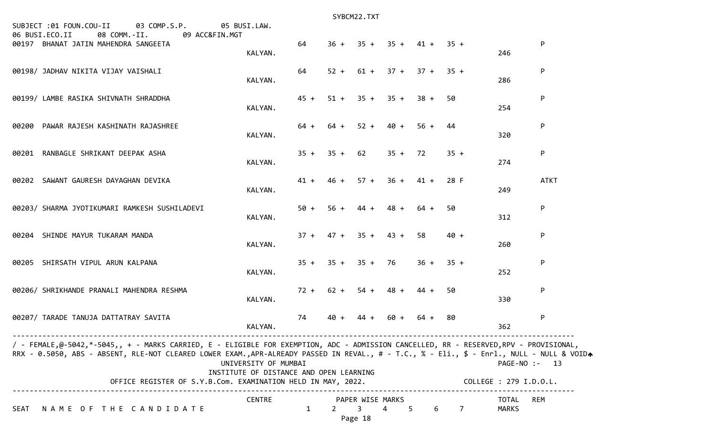| SUBJECT :01 FOUN.COU-II<br>03 COMP.S.P. 05 BUSI.LAW.<br>06 BUSI.ECO.II<br>08 COMM.-II. 09 ACC&FIN.MGT<br>00197 BHANAT JATIN MAHENDRA SANGEETA                                                                                                                                      | KALYAN.                                                         | 64   |                |                                               |                       | $36 + 35 + 35 + 41 + 35 +$      |        | 246                    | P           |
|------------------------------------------------------------------------------------------------------------------------------------------------------------------------------------------------------------------------------------------------------------------------------------|-----------------------------------------------------------------|------|----------------|-----------------------------------------------|-----------------------|---------------------------------|--------|------------------------|-------------|
| 00198/ JADHAV NIKITA VIJAY VAISHALI                                                                                                                                                                                                                                                | KALYAN.                                                         | 64   |                |                                               |                       | $52 + 61 + 37 + 37 + 35 +$      |        | 286                    | P           |
| 00199/ LAMBE RASIKA SHIVNATH SHRADDHA                                                                                                                                                                                                                                              | KALYAN.                                                         |      |                |                                               |                       | $45 + 51 + 35 + 35 + 38 + 50$   |        | 254                    | P           |
| 00200 PAWAR RAJESH KASHINATH RAJASHREE                                                                                                                                                                                                                                             | KALYAN.                                                         | 64 + |                |                                               |                       | $64 + 52 + 40 + 56 +$           | 44     | 320                    | P           |
| 00201 RANBAGLE SHRIKANT DEEPAK ASHA                                                                                                                                                                                                                                                | KALYAN.                                                         |      | $35 + 35 + 62$ |                                               |                       | $35 + 72$                       | $35 +$ | 274                    | P           |
| 00202 SAWANT GAURESH DAYAGHAN DEVIKA                                                                                                                                                                                                                                               | KALYAN.                                                         |      |                |                                               |                       | $41 + 46 + 57 + 36 + 41 +$      | 28 F   | 249                    | <b>ATKT</b> |
| 00203/ SHARMA JYOTIKUMARI RAMKESH SUSHILADEVI                                                                                                                                                                                                                                      | KALYAN.                                                         |      | $50 + 56 +$    | $44 +$                                        | $48 +$                | 64 +                            | 50     | 312                    | P           |
| 00204 SHINDE MAYUR TUKARAM MANDA                                                                                                                                                                                                                                                   | KALYAN.                                                         |      |                |                                               | $37 + 47 + 35 + 43 +$ | 58                              | $40 +$ | 260                    | P           |
| 00205 SHIRSATH VIPUL ARUN KALPANA                                                                                                                                                                                                                                                  | KALYAN.                                                         |      |                |                                               |                       | $35 + 35 + 35 + 76$ $36 + 35 +$ |        | 252                    | P           |
| 00206/ SHRIKHANDE PRANALI MAHENDRA RESHMA                                                                                                                                                                                                                                          | KALYAN.                                                         |      |                |                                               | $72 + 62 + 54 + 48 +$ | 44 +                            | 50     | 330                    | P           |
| 00207/ TARADE TANUJA DATTATRAY SAVITA                                                                                                                                                                                                                                              | KALYAN.                                                         | 74   | $40 +$         | $44 +$                                        | 60 +                  | 64 +                            | 80     | 362                    | P           |
| / - FEMALE,@-5042,*-5045,, + - MARKS CARRIED, E - ELIGIBLE FOR EXEMPTION, ADC - ADMISSION CANCELLED, RR - RESERVED,RPV - PROVISIONAL,<br>RRX - 0.5050, ABS - ABSENT, RLE-NOT CLEARED LOWER EXAM.,APR-ALREADY PASSED IN REVAL., # - T.C., % - Eli., \$ - Enrl., NULL - NULL & VOIDA | UNIVERSITY OF MUMBAI<br>INSTITUTE OF DISTANCE AND OPEN LEARNING |      |                |                                               |                       |                                 |        | $PAGE-NO: - 13$        |             |
| OFFICE REGISTER OF S.Y.B.Com. EXAMINATION HELD IN MAY, 2022.                                                                                                                                                                                                                       |                                                                 |      |                |                                               |                       |                                 |        | COLLEGE : 279 I.D.O.L. |             |
| NAME OF THE CANDIDATE<br>SEAT                                                                                                                                                                                                                                                      | <b>CENTRE</b>                                                   | 1    | $2^{\circ}$    | PAPER WISE MARKS<br>3 <sup>7</sup><br>Page 18 | $\overline{4}$        | $5 -$<br>6                      | 7      | TOTAL<br><b>MARKS</b>  | <b>REM</b>  |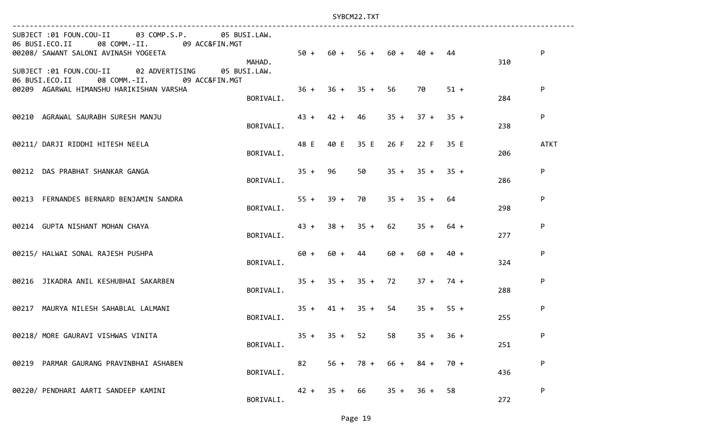| SUBJECT :01 FOUN.COU-II 03 COMP.S.P. 05 BUSI.LAW.<br>06 BUSI.ECO.II 08 COMM.-II. 09 ACC&FIN.MGT<br>00208/ SAWANT SALONI AVINASH YOGEETA<br>MAHAD. |                                            |    |             |                       |        | $50 + 60 + 56 + 60 + 40 + 44$   |        | 310 | P           |
|---------------------------------------------------------------------------------------------------------------------------------------------------|--------------------------------------------|----|-------------|-----------------------|--------|---------------------------------|--------|-----|-------------|
| SUBJECT :01 FOUN.COU-II 02 ADVERTISING<br>05 BUSI.LAW.<br>06 BUSI.ECO.II 08 COMM.-II. 09 ACC&FIN.MGT<br>00209 AGARWAL HIMANSHU HARIKISHAN VARSHA  | $36 + 36 + 35 + 56$ 70<br>BORIVALI.        |    |             |                       |        |                                 | $51 +$ | 284 | P           |
| 00210 AGRAWAL SAURABH SURESH MANJU                                                                                                                | BORIVALI.                                  |    |             |                       |        | $43 + 42 + 46$ $35 + 37 + 35 +$ |        | 238 | P           |
| 00211/ DARJI RIDDHI HITESH NEELA                                                                                                                  | 48 E 40 E 35 E 26 F 22 F 35 E<br>BORIVALI. |    |             |                       |        |                                 |        | 206 | <b>ATKT</b> |
| 00212 DAS PRABHAT SHANKAR GANGA                                                                                                                   | BORIVALI.                                  |    |             |                       |        | $35 + 96$ 50 $35 + 35 + 35 +$   |        | 286 | P           |
| 00213 FERNANDES BERNARD BENJAMIN SANDRA                                                                                                           | BORIVALI.                                  |    |             |                       |        | $55 + 39 + 70$ $35 + 35 + 64$   |        | 298 | P           |
| 00214 GUPTA NISHANT MOHAN CHAYA                                                                                                                   | BORIVALI.                                  |    |             |                       |        | $43 + 38 + 35 + 62$ $35 + 64 +$ |        | 277 | P           |
| 00215/ HALWAI SONAL RAJESH PUSHPA                                                                                                                 | BORIVALI.                                  |    |             |                       |        | $60 + 60 + 44$ $60 + 60 + 40 +$ |        | 324 | P           |
| 00216 JIKADRA ANIL KESHUBHAI SAKARBEN                                                                                                             | BORIVALI.                                  |    |             |                       |        | $35 + 35 + 35 + 72$ $37 + 74 +$ |        | 288 | P           |
| 00217 MAURYA NILESH SAHABLAL LALMANI                                                                                                              | BORIVALI.                                  |    |             |                       |        | $35 + 41 + 35 + 54$ $35 + 55 +$ |        | 255 | P           |
| 00218/ MORE GAURAVI VISHWAS VINITA                                                                                                                | BORIVALI.                                  |    |             | $35 + 35 + 52$        |        | $58$ $35 + 36 +$                |        | 251 | P           |
| 00219 PARMAR GAURANG PRAVINBHAI ASHABEN                                                                                                           | BORIVALI.                                  | 82 |             | $56 + 78 + 66 + 84 +$ |        |                                 | 70 +   | 436 | P           |
| 00220/ PENDHARI AARTI SANDEEP KAMINI                                                                                                              | BORIVALI.                                  |    | $42 + 35 +$ | 66                    | $35 +$ | 36 +                            | 58     | 272 | P           |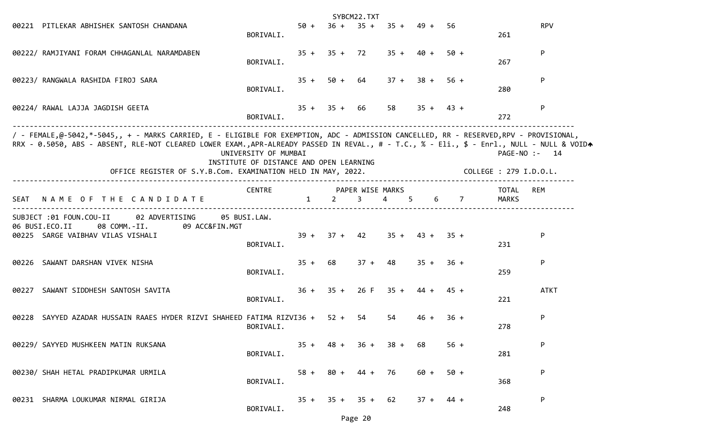|                                                                                                                                                                                                                                                                                                                                                    |                                                                 |        |      | SYBCM22.TXT         |                                   |                  |        |                        |               |
|----------------------------------------------------------------------------------------------------------------------------------------------------------------------------------------------------------------------------------------------------------------------------------------------------------------------------------------------------|-----------------------------------------------------------------|--------|------|---------------------|-----------------------------------|------------------|--------|------------------------|---------------|
| 00221 PITLEKAR ABHISHEK SANTOSH CHANDANA                                                                                                                                                                                                                                                                                                           | BORIVALI.                                                       |        |      |                     | $50 + 36 + 35 + 35 + 49 + 56$     |                  |        | 261                    | <b>RPV</b>    |
| 00222/ RAMJIYANI FORAM CHHAGANLAL NARAMDABEN                                                                                                                                                                                                                                                                                                       | BORIVALI.                                                       |        |      |                     | $35 + 35 + 72$ $35 + 40 +$        |                  | 50 +   | 267                    | P             |
| 00223/ RANGWALA RASHIDA FIROJ SARA                                                                                                                                                                                                                                                                                                                 | BORIVALI.                                                       |        |      |                     | $35 + 50 + 64$ $37 + 38 + 56 +$   |                  |        | 280                    | P             |
| 00224/ RAWAL LAJJA JAGDISH GEETA                                                                                                                                                                                                                                                                                                                   | BORIVALI.                                                       |        |      | $35 + 35 + 66$      |                                   | $58$ $35 + 43 +$ |        | 272                    | P             |
| / - FEMALE,@-5042,*-5045,, + - MARKS CARRIED, E - ELIGIBLE FOR EXEMPTION, ADC - ADMISSION CANCELLED, RR - RESERVED,RPV - PROVISIONAL,<br>RRX - 0.5050, ABS - ABSENT, RLE-NOT CLEARED LOWER EXAM.,APR-ALREADY PASSED IN REVAL., # - T.C., % - Eli., \$ - Enrl., NULL - NULL & VOIDA<br>OFFICE REGISTER OF S.Y.B.Com. EXAMINATION HELD IN MAY, 2022. | UNIVERSITY OF MUMBAI<br>INSTITUTE OF DISTANCE AND OPEN LEARNING |        |      |                     |                                   |                  |        | COLLEGE : 279 I.D.O.L. | PAGE-NO :- 14 |
| SEAT NAME OF THE CANDIDATE                                                                                                                                                                                                                                                                                                                         | CENTRE PAPER WISE MARKS                                         |        |      | $1 \quad 2 \quad 3$ | 4 5 6 7                           |                  |        | TOTAL<br>MARKS         | REM           |
| SUBJECT :01 FOUN.COU-II 02 ADVERTISING 05 BUSI.LAW.<br>06 BUSI.ECO.II<br>08 COMM.-II. 09 ACC&FIN.MGT<br>00225 SARGE VAIBHAV VILAS VISHALI                                                                                                                                                                                                          | BORIVALI.                                                       |        |      |                     | $39 + 37 + 42$ $35 + 43 + 35 +$   |                  |        | 231                    | P             |
| 00226 SAWANT DARSHAN VIVEK NISHA                                                                                                                                                                                                                                                                                                                   | BORIVALI.                                                       |        |      |                     | $35 + 68$ $37 + 48$ $35 + 36 +$   |                  |        | 259                    | P             |
| 00227 SAWANT SIDDHESH SANTOSH SAVITA                                                                                                                                                                                                                                                                                                               | BORIVALI.                                                       |        |      |                     | $36 + 35 + 26$ F $35 + 44 + 45 +$ |                  |        | 221                    | <b>ATKT</b>   |
| 00228 SAYYED AZADAR HUSSAIN RAAES HYDER RIZVI SHAHEED FATIMA RIZVI36 + 52 +                                                                                                                                                                                                                                                                        | BORIVALI.                                                       |        |      | 54                  | 54                                | 46 +             | $36 +$ | 278                    | P             |
| 00229/ SAYYED MUSHKEEN MATIN RUKSANA                                                                                                                                                                                                                                                                                                               | BORIVALI.                                                       |        |      |                     | $35 + 48 + 36 + 38 + 68$          |                  | $56 +$ | 281                    | P             |
| 00230/ SHAH HETAL PRADIPKUMAR URMILA                                                                                                                                                                                                                                                                                                               | BORIVALI.                                                       | $58 +$ | 80 + | 44 + 76             |                                   | 60 +             | $50 +$ | 368                    | P             |
| 00231 SHARMA LOUKUMAR NIRMAL GIRIJA                                                                                                                                                                                                                                                                                                                | BORIVALI.                                                       |        |      | $35 + 35 + 35 + 62$ |                                   | $37 +$           | 44 +   | 248                    | P             |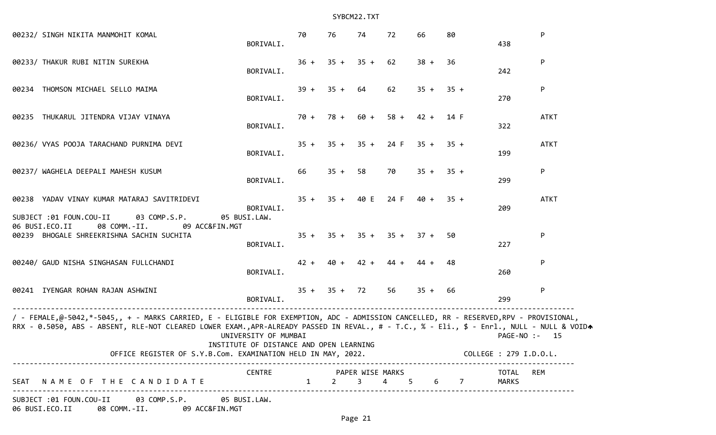| 00232/ SINGH NIKITA MANMOHIT KOMAL                                                                                                                                                                                                                                                                                                                                        | BORIVALI.                                                       | 70     | 76                  | 74                                | 72      | 66          | 80   | 438                   | P           |
|---------------------------------------------------------------------------------------------------------------------------------------------------------------------------------------------------------------------------------------------------------------------------------------------------------------------------------------------------------------------------|-----------------------------------------------------------------|--------|---------------------|-----------------------------------|---------|-------------|------|-----------------------|-------------|
|                                                                                                                                                                                                                                                                                                                                                                           |                                                                 |        |                     |                                   |         |             |      |                       |             |
| 00233/ THAKUR RUBI NITIN SUREKHA                                                                                                                                                                                                                                                                                                                                          | BORIVALI.                                                       |        |                     | $36 + 35 + 35 + 62$               |         | $38 +$      | - 36 | 242                   | P           |
| 00234 THOMSON MICHAEL SELLO MAIMA                                                                                                                                                                                                                                                                                                                                         | BORIVALI.                                                       |        | $39 + 35 + 64$      |                                   | 62      | $35 + 35 +$ |      | 270                   | P           |
| 00235 THUKARUL JITENDRA VIJAY VINAYA                                                                                                                                                                                                                                                                                                                                      | BORIVALI.                                                       |        |                     | $70 + 78 + 60 + 58 + 42 + 14 F$   |         |             |      | 322                   | <b>ATKT</b> |
| 00236/ VYAS POOJA TARACHAND PURNIMA DEVI                                                                                                                                                                                                                                                                                                                                  | BORIVALI.                                                       |        |                     | $35 + 35 + 35 + 24$ F $35 + 35 +$ |         |             |      | 199                   | <b>ATKT</b> |
| 00237/ WAGHELA DEEPALI MAHESH KUSUM                                                                                                                                                                                                                                                                                                                                       | BORIVALI.                                                       | 66     | $35 + 58$           |                                   | 70      | $35 + 35 +$ |      | 299                   | P           |
| 00238 YADAV VINAY KUMAR MATARAJ SAVITRIDEVI<br>SUBJECT :01 FOUN.COU-II<br>03 COMP.S.P.                                                                                                                                                                                                                                                                                    | BORIVALI.<br>05 BUSI.LAW.                                       |        |                     | $35 + 35 + 40$ E 24 F             |         | $40 + 35 +$ |      | 209                   | <b>ATKT</b> |
| 06 BUSI.ECO.II<br>08 COMM.-II.<br>09 ACC&FIN.MGT<br>00239 BHOGALE SHREEKRISHNA SACHIN SUCHITA                                                                                                                                                                                                                                                                             | BORIVALI.                                                       |        |                     | $35 + 35 + 35 + 35 + 37 +$        |         |             | 50   | 227                   | P           |
| 00240/ GAUD NISHA SINGHASAN FULLCHANDI                                                                                                                                                                                                                                                                                                                                    | BORIVALI.                                                       | $42 +$ |                     | $40 + 42 +$                       | $44 +$  | 44 +        | -48  | 260                   | P           |
| 00241 IYENGAR ROHAN RAJAN ASHWINI                                                                                                                                                                                                                                                                                                                                         | BORIVALI.                                                       |        | $35 + 35 + 72$      |                                   | 56      | $35 + 66$   |      | 299                   | P           |
| / - FEMALE,@-5042,*-5045,, + - MARKS CARRIED, E - ELIGIBLE FOR EXEMPTION, ADC - ADMISSION CANCELLED, RR - RESERVED,RPV - PROVISIONAL,<br>RRX - 0.5050, ABS - ABSENT, RLE-NOT CLEARED LOWER EXAM.,APR-ALREADY PASSED IN REVAL., # - T.C., % - Eli., \$ - Enrl., NULL - NULL & VOIDA<br>OFFICE REGISTER OF S.Y.B.Com. EXAMINATION HELD IN MAY, 2022. COLLEGE : 279 I.D.O.L. | UNIVERSITY OF MUMBAI<br>INSTITUTE OF DISTANCE AND OPEN LEARNING |        |                     |                                   |         |             |      | PAGE-NO :- 15         |             |
| SEAT NAME OF THE CANDIDATE                                                                                                                                                                                                                                                                                                                                                | CENTRE PAPER WISE MARKS                                         |        | $1 \quad 2 \quad 3$ |                                   | 4 5 6 7 |             |      | TOTAL<br><b>MARKS</b> | REM         |
| SUBJECT :01 FOUN.COU-II 03 COMP.S.P. 05 BUSI.LAW.<br>06 BUSI.ECO.II 08 COMM.-II. 09 ACC&FIN.MGT                                                                                                                                                                                                                                                                           |                                                                 |        |                     |                                   |         |             |      |                       |             |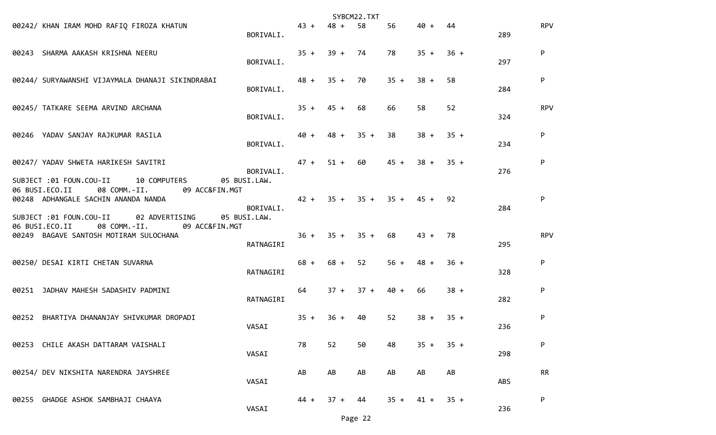|                                                                                                                                                   |           |             |                  | SYBCM22.TXT      |             |        |        |     |            |
|---------------------------------------------------------------------------------------------------------------------------------------------------|-----------|-------------|------------------|------------------|-------------|--------|--------|-----|------------|
| 00242/ KHAN IRAM MOHD RAFIQ FIROZA KHATUN                                                                                                         | BORIVALI. | $43 +$      | $48 +$           | 58               | 56          | 40 +   | 44     | 289 | <b>RPV</b> |
| 00243 SHARMA AAKASH KRISHNA NEERU                                                                                                                 | BORIVALI. | $35 + 39 +$ |                  | 74               | 78          | $35 +$ | $36 +$ | 297 | P          |
| 00244/ SURYAWANSHI VIJAYMALA DHANAJI SIKINDRABAI                                                                                                  | BORIVALI. | $48 + 35 +$ |                  | 70               | $35 +$      | $38 +$ | 58     | 284 | P          |
| 00245/ TATKARE SEEMA ARVIND ARCHANA                                                                                                               | BORIVALI. | $35 + 45 +$ |                  | 68               | 66          | 58     | 52     | 324 | <b>RPV</b> |
| 00246 YADAV SANJAY RAJKUMAR RASILA                                                                                                                | BORIVALI. | 40 +        | $48 +$           | $35 +$           | 38          | $38 +$ | $35 +$ | 234 | P          |
| 00247/ YADAV SHWETA HARIKESH SAVITRI<br>SUBJECT :01 FOUN.COU-II 10 COMPUTERS<br>05 BUSI.LAW.                                                      | BORIVALI. | $47 + 51 +$ |                  | 60               | $45 +$      | $38 +$ | $35 +$ | 276 | P          |
| 06 BUSI.ECO.II<br>08 COMM.-II.<br>09 ACC&FIN.MGT<br>00248 ADHANGALE SACHIN ANANDA NANDA<br>SUBJECT :01 FOUN.COU-II<br>02 ADVERTISING 05 BUSI.LAW. | BORIVALI. |             |                  | $42 + 35 + 35 +$ | $35 + 45 +$ |        | 92     | 284 | P          |
| 06 BUSI.ECO.II 08 COMM.-II. 09 ACC&FIN.MGT<br>00249 BAGAVE SANTOSH MOTIRAM SULOCHANA                                                              | RATNAGIRI |             | $36 + 35 + 35 +$ |                  | 68          | $43 +$ | 78     | 295 | <b>RPV</b> |
| 00250/ DESAI KIRTI CHETAN SUVARNA                                                                                                                 | RATNAGIRI |             | $68 + 68 +$      | 52               | $56 +$      | $48 +$ | $36 +$ | 328 | P          |
| 00251 JADHAV MAHESH SADASHIV PADMINI                                                                                                              | RATNAGIRI | 64          | $37 +$           | $37 +$           | $40 +$      | 66     | $38 +$ | 282 | P          |
| 00252 BHARTIYA DHANANJAY SHIVKUMAR DROPADI                                                                                                        | VASAI     | $35 +$      | $36 +$           | 40               | 52          | $38 +$ | $35 +$ | 236 | P          |
| 00253 CHILE AKASH DATTARAM VAISHALI                                                                                                               | VASAI     | 78          | 52               | 50               | 48          | $35 +$ | $35 +$ | 298 | P          |
| 00254/ DEV NIKSHITA NARENDRA JAYSHREE                                                                                                             | VASAI     | AB          | AB               | AB               | AB          | AB     | AB     | ABS | <b>RR</b>  |
| 00255 GHADGE ASHOK SAMBHAJI CHAAYA                                                                                                                | VASAI     | 44 +        | $37 +$           | 44               | $35 +$      | $41 +$ | $35 +$ | 236 | ${\sf P}$  |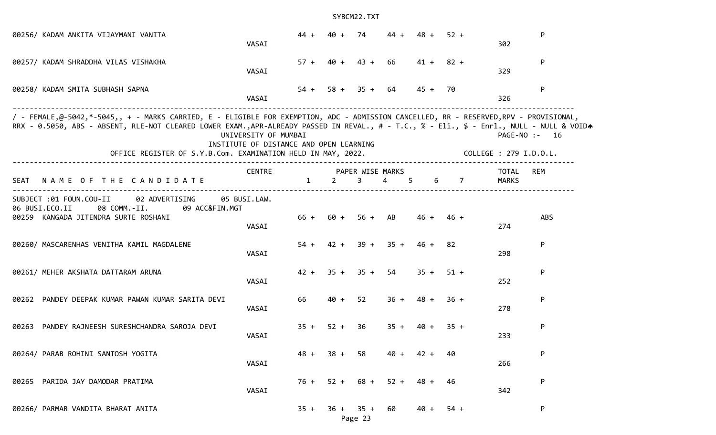| 00256/ KADAM ANKITA VIJAYMANI VANITA                                                                                                                                                                                                                                                                                                               | VASAI                                                           | $44 +$ | 40 +                           | 74             | 44 +                          | 48 +           | $52 +$ |             | 302                                     | P   |
|----------------------------------------------------------------------------------------------------------------------------------------------------------------------------------------------------------------------------------------------------------------------------------------------------------------------------------------------------|-----------------------------------------------------------------|--------|--------------------------------|----------------|-------------------------------|----------------|--------|-------------|-----------------------------------------|-----|
| 00257/ KADAM SHRADDHA VILAS VISHAKHA                                                                                                                                                                                                                                                                                                               | VASAI                                                           |        | $57 + 40 + 43 +$               |                | 66                            | $41 + 82 +$    |        |             | 329                                     | P   |
| 00258/ KADAM SMITA SUBHASH SAPNA                                                                                                                                                                                                                                                                                                                   | VASAI                                                           |        |                                |                | $54 + 58 + 35 + 64$           | 45 + 70        |        |             | 326                                     | P   |
| / - FEMALE,@-5042,*-5045,, + - MARKS CARRIED, E - ELIGIBLE FOR EXEMPTION, ADC - ADMISSION CANCELLED, RR - RESERVED,RPV - PROVISIONAL,<br>RRX - 0.5050, ABS - ABSENT, RLE-NOT CLEARED LOWER EXAM.,APR-ALREADY PASSED IN REVAL., # - T.C., % - Eli., \$ - Enrl., NULL - NULL & VOIDA<br>OFFICE REGISTER OF S.Y.B.Com. EXAMINATION HELD IN MAY, 2022. | UNIVERSITY OF MUMBAI<br>INSTITUTE OF DISTANCE AND OPEN LEARNING |        |                                |                |                               |                |        |             | PAGE-NO :- 16<br>COLLEGE : 279 I.D.O.L. |     |
|                                                                                                                                                                                                                                                                                                                                                    | CENTRE                                                          |        | PAPER WISE MARKS               |                |                               |                |        |             | TOTAL                                   | REM |
| NAME OF THE CANDIDATE<br>SEAT                                                                                                                                                                                                                                                                                                                      |                                                                 | 1      | $2 \left( \frac{1}{2} \right)$ | $3 \qquad 4$   |                               | $5 -$          |        | $6\qquad 7$ | <b>MARKS</b>                            |     |
| 02 ADVERTISING<br>SUBJECT :01 FOUN.COU-II<br>06 BUSI.ECO.II<br>08 COMM.-II.<br>09 ACC&FIN.MGT<br>00259 KANGADA JITENDRA SURTE ROSHANI                                                                                                                                                                                                              | 05 BUSI.LAW.<br>VASAI                                           | 66 +   |                                | $60 + 56 + AB$ |                               | $46 +$         | $46 +$ |             | 274                                     | ABS |
| 00260/ MASCARENHAS VENITHA KAMIL MAGDALENE                                                                                                                                                                                                                                                                                                         | VASAI                                                           | $54 +$ | $42 +$                         |                | $39 + 35 +$                   | 46 +           | 82     |             | 298                                     | P   |
| 00261/ MEHER AKSHATA DATTARAM ARUNA                                                                                                                                                                                                                                                                                                                | VASAI                                                           |        | $42 + 35 + 35 + 54$            |                |                               | $35 + 51 +$    |        |             | 252                                     | P   |
| 00262 PANDEY DEEPAK KUMAR PAWAN KUMAR SARITA DEVI                                                                                                                                                                                                                                                                                                  | VASAI                                                           | 66     | $40 +$                         | 52             | $36 +$                        | 48 +           | $36 +$ |             | 278                                     | P   |
| PANDEY RAJNEESH SURESHCHANDRA SAROJA DEVI<br>00263                                                                                                                                                                                                                                                                                                 | VASAI                                                           | $35 +$ | $52 +$                         | 36             | $35 + 40 +$                   |                | $35 +$ |             | 233                                     | P   |
| 00264/ PARAB ROHINI SANTOSH YOGITA                                                                                                                                                                                                                                                                                                                 | VASAI                                                           |        | $48 + 38 + 58$                 |                |                               | $40 + 42 + 40$ |        |             | 266                                     | P   |
| 00265 PARIDA JAY DAMODAR PRATIMA                                                                                                                                                                                                                                                                                                                   | VASAI                                                           |        |                                |                | $76 + 52 + 68 + 52 + 48 + 46$ |                |        |             | 342                                     | P   |
| 00266/ PARMAR VANDITA BHARAT ANITA                                                                                                                                                                                                                                                                                                                 |                                                                 | $35 +$ |                                | $36 + 35 + 60$ |                               | $40 +$         | 54 +   |             |                                         | P   |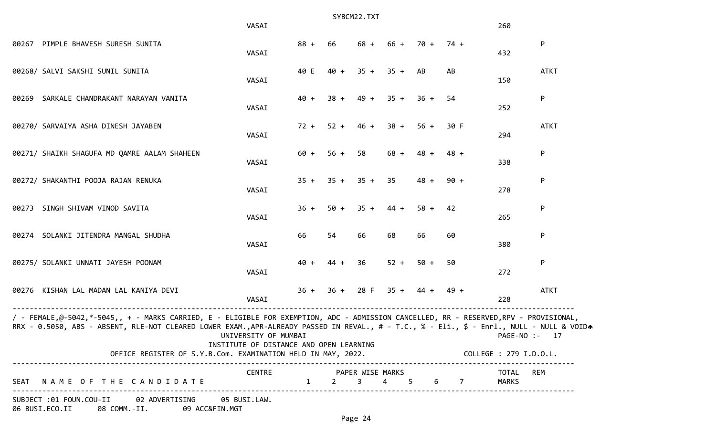|                                                                                                                                                                                                                                                                                    | VASAI                                                           |        |        | SYBCM22.TXT         |                  |                  |                     | 260                    |             |
|------------------------------------------------------------------------------------------------------------------------------------------------------------------------------------------------------------------------------------------------------------------------------------|-----------------------------------------------------------------|--------|--------|---------------------|------------------|------------------|---------------------|------------------------|-------------|
| 00267 PIMPLE BHAVESH SURESH SUNITA                                                                                                                                                                                                                                                 | VASAI                                                           | $88 +$ | 66     | $68 +$              | $66 + 70 +$      |                  | $74 +$              | 432                    | P           |
| 00268/ SALVI SAKSHI SUNIL SUNITA                                                                                                                                                                                                                                                   | VASAI                                                           | 40 E   |        | $40 + 35 + 35 + AB$ |                  |                  | AB                  | 150                    | <b>ATKT</b> |
| 00269 SARKALE CHANDRAKANT NARAYAN VANITA                                                                                                                                                                                                                                           | VASAI                                                           | $40 +$ | $38 +$ |                     | $49 + 35 + 36 +$ |                  | -54                 | 252                    | P           |
| 00270/ SARVAIYA ASHA DINESH JAYABEN                                                                                                                                                                                                                                                | VASAI                                                           | $72 +$ | $52 +$ | $46 +$              | $38 +$           | $56 +$           | 30 F                | 294                    | <b>ATKT</b> |
| 00271/ SHAIKH SHAGUFA MD QAMRE AALAM SHAHEEN                                                                                                                                                                                                                                       | VASAI                                                           | $60 +$ | $56 +$ | 58                  | $68 +$           | $48 +$           | $48 +$              | 338                    | P           |
| 00272/ SHAKANTHI POOJA RAJAN RENUKA                                                                                                                                                                                                                                                | VASAI                                                           | $35 +$ |        | $35 + 35 + 35$      |                  | $48 +$           | $90 +$              | 278                    | P           |
| 00273 SINGH SHIVAM VINOD SAVITA                                                                                                                                                                                                                                                    | VASAI                                                           | $36 +$ | $50 +$ | $35 +$              | $44 +$           | $58 +$           | 42                  | 265                    | P           |
| 00274 SOLANKI JITENDRA MANGAL SHUDHA                                                                                                                                                                                                                                               | VASAI                                                           | 66     | 54     | 66                  | 68               | 66               | 60                  | 380                    | P           |
| 00275/ SOLANKI UNNATI JAYESH POONAM                                                                                                                                                                                                                                                | VASAI                                                           | $40 +$ | $44 +$ | 36                  | $52 +$           | $50 +$           | 50                  | 272                    | P           |
| 00276 KISHAN LAL MADAN LAL KANIYA DEVI                                                                                                                                                                                                                                             | VASAI                                                           | $36 +$ |        | $36 + 28$ F         |                  | $35 + 44 + 49 +$ |                     | 228                    | <b>ATKT</b> |
| / - FEMALE,@-5042,*-5045,, + - MARKS CARRIED, E - ELIGIBLE FOR EXEMPTION, ADC - ADMISSION CANCELLED, RR - RESERVED,RPV - PROVISIONAL,<br>RRX - 0.5050, ABS - ABSENT, RLE-NOT CLEARED LOWER EXAM.,APR-ALREADY PASSED IN REVAL., # - T.C., % - Eli., \$ - Enrl., NULL - NULL & VOIDA | UNIVERSITY OF MUMBAI<br>INSTITUTE OF DISTANCE AND OPEN LEARNING |        |        |                     |                  |                  |                     | $PAGE-NO: - 17$        |             |
| OFFICE REGISTER OF S.Y.B.Com. EXAMINATION HELD IN MAY, 2022.                                                                                                                                                                                                                       |                                                                 |        |        |                     |                  |                  |                     | COLLEGE : 279 I.D.O.L. |             |
| SEAT NAME OF THE CANDIDATE                                                                                                                                                                                                                                                         | CENTRE                                                          |        |        | PAPER WISE MARKS    |                  |                  | 1 2 3 4 5 6 7 MARKS | TOTAL REM              |             |
| SUBJECT :01 FOUN.COU-II 02 ADVERTISING 05 BUSI.LAW.<br>06 BUSI.ECO.II 08 COMM.-II. 09 ACC&FIN.MGT                                                                                                                                                                                  |                                                                 |        |        |                     |                  |                  |                     |                        |             |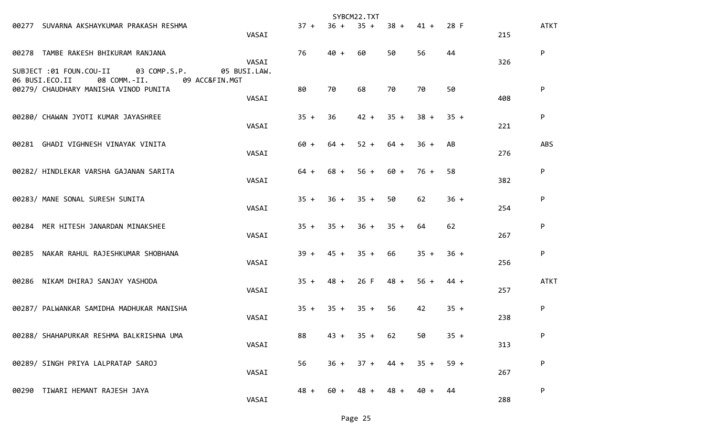|       |                                                                                           |                       |        |                  | SYBCM22.TXT |        |        |        |     |             |
|-------|-------------------------------------------------------------------------------------------|-----------------------|--------|------------------|-------------|--------|--------|--------|-----|-------------|
|       | 00277 SUVARNA AKSHAYKUMAR PRAKASH RESHMA                                                  | VASAI                 | $37 +$ | $36 +$           | $35 +$      | $38 +$ | $41 +$ | 28 F   | 215 | <b>ATKT</b> |
|       | 00278 TAMBE RAKESH BHIKURAM RANJANA<br>SUBJECT :01 FOUN.COU-II<br>03 COMP.S.P.            | VASAI<br>05 BUSI.LAW. | 76     | $40 +$           | 60          | 50     | 56     | 44     | 326 | P           |
|       | 06 BUSI.ECO.II<br>08 COMM.-II.<br>09 ACC&FIN.MGT<br>00279/ CHAUDHARY MANISHA VINOD PUNITA | VASAI                 | 80     | 70               | 68          | 70     | 70     | 50     | 408 | P           |
|       | 00280/ CHAWAN JYOTI KUMAR JAYASHREE                                                       | VASAI                 | $35 +$ | 36               | $42 +$      | $35 +$ | $38 +$ | $35 +$ | 221 | P           |
|       | 00281 GHADI VIGHNESH VINAYAK VINITA                                                       | VASAI                 | $60 +$ | $64 +$           | $52 +$      | $64 +$ | $36 +$ | AB     | 276 | <b>ABS</b>  |
|       | 00282/ HINDLEKAR VARSHA GAJANAN SARITA                                                    | VASAI                 | $64 +$ | $68 +$           | $56 +$      | 60 +   | $76 +$ | 58     | 382 | P           |
|       | 00283/ MANE SONAL SURESH SUNITA                                                           | VASAI                 | $35 +$ | $36 +$           | $35 +$      | 50     | 62     | $36 +$ | 254 | P           |
|       | 00284 MER HITESH JANARDAN MINAKSHEE                                                       | VASAI                 | $35 +$ | $35 +$           | $36 +$      | $35 +$ | 64     | 62     | 267 | P           |
| 00285 | NAKAR RAHUL RAJESHKUMAR SHOBHANA                                                          | VASAI                 | $39 +$ | $45 + 35 +$      |             | 66     | $35 +$ | $36 +$ | 256 | P           |
|       | 00286 NIKAM DHIRAJ SANJAY YASHODA                                                         | VASAI                 | $35 +$ | $48 +$           | 26 F        | $48 +$ | $56 +$ | $44 +$ | 257 | <b>ATKT</b> |
|       | 00287/ PALWANKAR SAMIDHA MADHUKAR MANISHA                                                 | VASAI                 |        | $35 + 35 + 35 +$ |             | 56     | 42     | $35 +$ | 238 | P           |
|       | 00288/ SHAHAPURKAR RESHMA BALKRISHNA UMA                                                  | VASAI                 | 88     | $43 +$           | $35 + 62$   |        | 50     | $35 +$ | 313 | P           |
|       | 00289/ SINGH PRIYA LALPRATAP SAROJ                                                        | VASAI                 | 56     | $36 +$           | $37 +$      | $44 +$ | $35 +$ | $59 +$ | 267 | P           |
|       | 00290 TIWARI HEMANT RAJESH JAYA                                                           | VASAI                 | $48 +$ | 60 +             | $48 +$      | $48 +$ | 40 +   | 44     | 288 | P           |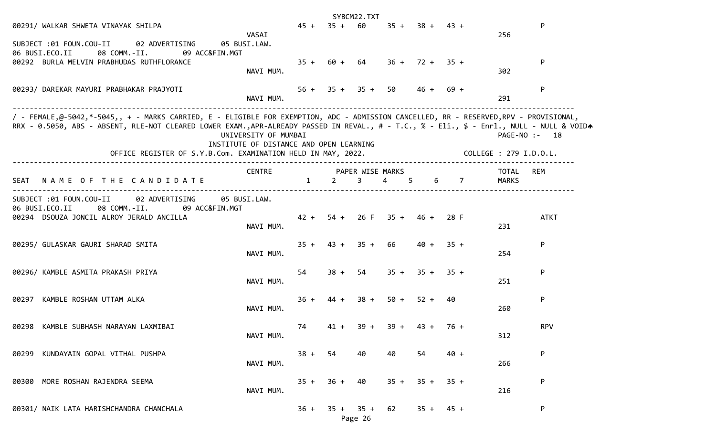|                                                                                                                                                                                                                                                                                    |                                                                 |              |                                | SYBCM22.TXT    |                                 |                  |             |                        |               |
|------------------------------------------------------------------------------------------------------------------------------------------------------------------------------------------------------------------------------------------------------------------------------------|-----------------------------------------------------------------|--------------|--------------------------------|----------------|---------------------------------|------------------|-------------|------------------------|---------------|
| 00291/ WALKAR SHWETA VINAYAK SHILPA                                                                                                                                                                                                                                                |                                                                 |              | $45 + 35 + 60$                 |                |                                 | $35 + 38 + 43 +$ |             |                        | P             |
| SUBJECT :01 FOUN.COU-II<br>02 ADVERTISING<br>06 BUSI.ECO.II<br>08 COMM.-II.<br>09 ACC&FIN.MGT                                                                                                                                                                                      | VASAI<br>05 BUSI.LAW.                                           |              |                                |                |                                 |                  |             | 256                    |               |
| 00292 BURLA MELVIN PRABHUDAS RUTHFLORANCE                                                                                                                                                                                                                                          | NAVI MUM.                                                       |              | $35 + 60 + 64$                 |                |                                 | $36 + 72 + 35 +$ |             | 302                    | P             |
| 00293/ DAREKAR MAYURI PRABHAKAR PRAJYOTI                                                                                                                                                                                                                                           | NAVI MUM.                                                       |              | $56 + 35 + 35 + 50$            |                |                                 |                  | $46 + 69 +$ | 291                    | P             |
| / - FEMALE,@-5042,*-5045,, + - MARKS CARRIED, E - ELIGIBLE FOR EXEMPTION, ADC - ADMISSION CANCELLED, RR - RESERVED,RPV - PROVISIONAL,<br>RRX - 0.5050, ABS - ABSENT, RLE-NOT CLEARED LOWER EXAM.,APR-ALREADY PASSED IN REVAL., # - T.C., % - Eli., \$ - Enrl., NULL - NULL & VOIDA | UNIVERSITY OF MUMBAI<br>INSTITUTE OF DISTANCE AND OPEN LEARNING |              |                                |                |                                 |                  |             |                        | PAGE-NO :- 18 |
| OFFICE REGISTER OF S.Y.B.Com. EXAMINATION HELD IN MAY, 2022.                                                                                                                                                                                                                       |                                                                 |              |                                |                |                                 |                  |             | COLLEGE : 279 I.D.O.L. |               |
| NAME OF THE CANDIDATE<br>SEAT                                                                                                                                                                                                                                                      | <b>CENTRE</b>                                                   | $\mathbf{1}$ | $2 \left( \frac{1}{2} \right)$ | $\overline{3}$ | PAPER WISE MARKS<br>$4 \quad 5$ |                  | $6\qquad 7$ | TOTAL<br>MARKS         | <b>REM</b>    |
| SUBJECT :01 FOUN.COU-II<br>02 ADVERTISING<br>06 BUSI.ECO.II<br>08 COMM.-II.<br>09 ACC&FIN.MGT<br>00294 DSOUZA JONCIL ALROY JERALD ANCILLA                                                                                                                                          | 05 BUSI.LAW.<br>NAVI MUM.                                       |              |                                |                | $42 + 54 + 26$ F $35 + 46 +$    |                  | 28 F        | 231                    | <b>ATKT</b>   |
| 00295/ GULASKAR GAURI SHARAD SMITA                                                                                                                                                                                                                                                 | NAVI MUM.                                                       | $35 +$       |                                | $43 + 35 + 66$ |                                 | $40 +$           | $-35 +$     | 254                    | P             |
| 00296/ KAMBLE ASMITA PRAKASH PRIYA                                                                                                                                                                                                                                                 | NAVI MUM.                                                       | 54           | $38 +$                         | 54             |                                 | $35 + 35 + 35 +$ |             | 251                    | P             |
| 00297 KAMBLE ROSHAN UTTAM ALKA                                                                                                                                                                                                                                                     | NAVI MUM.                                                       | $36 +$       |                                |                | $44 + 38 + 50 + 52 + 40$        |                  |             | 260                    | P             |
| 00298 KAMBLE SUBHASH NARAYAN LAXMIBAI                                                                                                                                                                                                                                              | NAVI MUM.                                                       | 74           |                                |                | $41 + 39 + 39 + 43 + 76 +$      |                  |             | 312                    | <b>RPV</b>    |
| 00299 KUNDAYAIN GOPAL VITHAL PUSHPA                                                                                                                                                                                                                                                | NAVI MUM.                                                       |              | $38 + 54$ 40                   |                | 40                              | 54               | $40 +$      | 266                    | P             |
| 00300 MORE ROSHAN RAJENDRA SEEMA                                                                                                                                                                                                                                                   | NAVI MUM.                                                       | $35 +$       | $36 +$                         | 40             |                                 | $35 + 35 + 35 +$ |             | 216                    | P             |
| 00301/ NAIK LATA HARISHCHANDRA CHANCHALA                                                                                                                                                                                                                                           |                                                                 |              |                                | Page 26        | $36 + 35 + 35 + 62$             |                  | $35 + 45 +$ |                        | P             |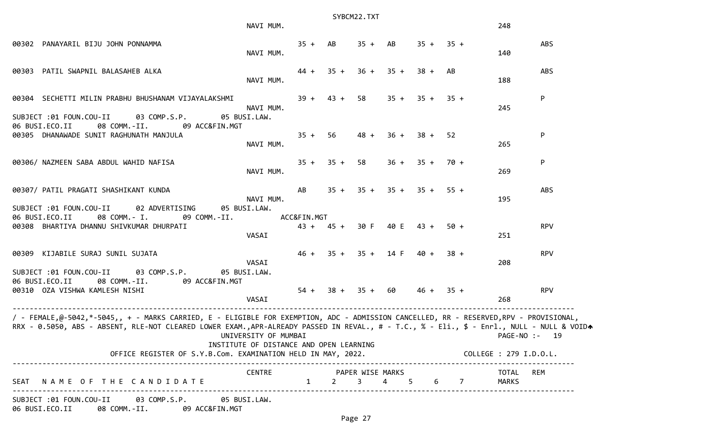|                                                                                                                                                                                                                                                                                    | SYBCM22.TXT                                                     |    |  |                                   |  |                  |  |                              |               |  |  |
|------------------------------------------------------------------------------------------------------------------------------------------------------------------------------------------------------------------------------------------------------------------------------------|-----------------------------------------------------------------|----|--|-----------------------------------|--|------------------|--|------------------------------|---------------|--|--|
|                                                                                                                                                                                                                                                                                    | NAVI MUM.                                                       |    |  |                                   |  |                  |  | 248                          |               |  |  |
| 00302 PANAYARIL BIJU JOHN PONNAMMA                                                                                                                                                                                                                                                 | NAVI MUM.                                                       |    |  | $35 + AB$ $35 + AB$ $35 + 35 +$   |  |                  |  | 140                          | <b>ABS</b>    |  |  |
| 00303 PATIL SWAPNIL BALASAHEB ALKA                                                                                                                                                                                                                                                 | NAVI MUM.                                                       |    |  | $44 + 35 + 36 + 35 + 38 + AB$     |  |                  |  | 188                          | <b>ABS</b>    |  |  |
| 00304 SECHETTI MILIN PRABHU BHUSHANAM VIJAYALAKSHMI                                                                                                                                                                                                                                | NAVI MUM.                                                       |    |  | $39 + 43 + 58$                    |  | $35 + 35 + 35 +$ |  | 245                          | P             |  |  |
| SUBJECT :01 FOUN.COU-II 03 COMP.S.P.<br>06 BUSI.ECO.II<br>08 COMM.-II. 09 ACC&FIN.MGT<br>00305 DHANAWADE SUNIT RAGHUNATH MANJULA                                                                                                                                                   | 05 BUSI.LAW.<br>NAVI MUM.                                       |    |  | $35 + 56$ 48 +                    |  | $36 + 38 + 52$   |  | 265                          | P             |  |  |
|                                                                                                                                                                                                                                                                                    |                                                                 |    |  |                                   |  |                  |  |                              |               |  |  |
| 00306/ NAZMEEN SABA ABDUL WAHID NAFISA                                                                                                                                                                                                                                             | NAVI MUM.                                                       |    |  | $35 + 35 + 58$                    |  | $36 + 35 + 70 +$ |  | 269                          | P             |  |  |
| 00307/ PATIL PRAGATI SHASHIKANT KUNDA                                                                                                                                                                                                                                              | NAVI MUM.                                                       | AB |  | $35 + 35 + 35 + 35 + 55 +$        |  |                  |  | 195                          | <b>ABS</b>    |  |  |
| SUBJECT :01 FOUN.COU-II<br>02 ADVERTISING<br>06 BUSI.ECO.II<br>08 COMM.- I. 09 COMM.-II.<br>00308 BHARTIYA DHANNU SHIVKUMAR DHURPATI                                                                                                                                               | 05 BUSI.LAW.<br>ACC&FIN.MGT<br>VASAI                            |    |  | 43 + 45 + 30 F 40 E 43 + 50 +     |  |                  |  | 251                          | <b>RPV</b>    |  |  |
| 00309 KIJABILE SURAJ SUNIL SUJATA                                                                                                                                                                                                                                                  |                                                                 |    |  | $46 + 35 + 35 + 14 F$ $40 + 38 +$ |  |                  |  |                              | <b>RPV</b>    |  |  |
| SUBJECT :01 FOUN.COU-II 03 COMP.S.P.<br>06 BUSI.ECO.II<br>08 COMM.-II.<br>09 ACC&FIN.MGT                                                                                                                                                                                           | VASAI<br>05 BUSI.LAW.                                           |    |  |                                   |  |                  |  | 208                          |               |  |  |
| 00310 OZA VISHWA KAMLESH NISHI                                                                                                                                                                                                                                                     | VASAI                                                           |    |  | $54 + 38 + 35 + 60$               |  | $46 + 35 +$      |  | 268                          | <b>RPV</b>    |  |  |
| / - FEMALE,@-5042,*-5045,, + - MARKS CARRIED, E - ELIGIBLE FOR EXEMPTION, ADC - ADMISSION CANCELLED, RR - RESERVED,RPV - PROVISIONAL,<br>RRX - 0.5050, ABS - ABSENT, RLE-NOT CLEARED LOWER EXAM.,APR-ALREADY PASSED IN REVAL., # - T.C., % - Eli., \$ - Enrl., NULL - NULL & VOIDA | UNIVERSITY OF MUMBAI<br>INSTITUTE OF DISTANCE AND OPEN LEARNING |    |  |                                   |  |                  |  |                              | PAGE-NO :- 19 |  |  |
| OFFICE REGISTER OF S.Y.B.Com. EXAMINATION HELD IN MAY, 2022. COLLEGE : 279 I.D.O.L.                                                                                                                                                                                                |                                                                 |    |  |                                   |  |                  |  |                              |               |  |  |
| SEAT NAME OF THE CANDIDATE                                                                                                                                                                                                                                                         | CENTRE PAPER WISE MARKS                                         |    |  |                                   |  |                  |  | TOTAL<br>1 2 3 4 5 6 7 MARKS | REM           |  |  |
| SUBJECT :01 FOUN.COU-II 03 COMP.S.P. 05 BUSI.LAW.<br>06 BUSI.ECO.II 08 COMM.-II. 09 ACC&FIN.MGT                                                                                                                                                                                    |                                                                 |    |  |                                   |  |                  |  |                              |               |  |  |